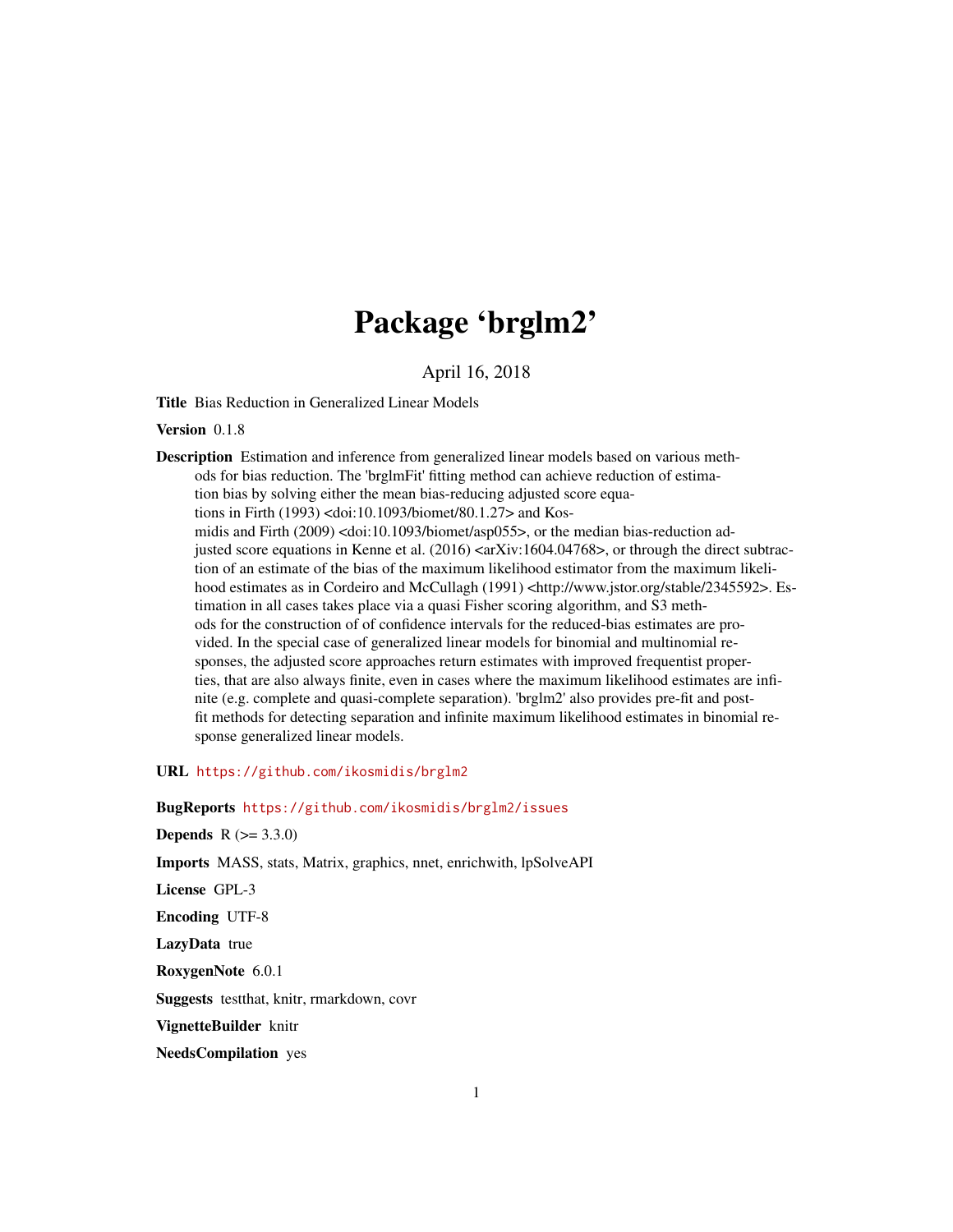# Package 'brglm2'

April 16, 2018

<span id="page-0-0"></span>Title Bias Reduction in Generalized Linear Models

Version 0.1.8

Description Estimation and inference from generalized linear models based on various methods for bias reduction. The 'brglmFit' fitting method can achieve reduction of estimation bias by solving either the mean bias-reducing adjusted score equations in Firth (1993) <doi:10.1093/biomet/80.1.27> and Kosmidis and Firth (2009) <doi:10.1093/biomet/asp055>, or the median bias-reduction adjusted score equations in Kenne et al.  $(2016)$  <arXiv:1604.04768>, or through the direct subtraction of an estimate of the bias of the maximum likelihood estimator from the maximum likelihood estimates as in Cordeiro and McCullagh (1991) <http://www.jstor.org/stable/2345592>. Estimation in all cases takes place via a quasi Fisher scoring algorithm, and S3 methods for the construction of of confidence intervals for the reduced-bias estimates are provided. In the special case of generalized linear models for binomial and multinomial responses, the adjusted score approaches return estimates with improved frequentist properties, that are also always finite, even in cases where the maximum likelihood estimates are infinite (e.g. complete and quasi-complete separation). 'brglm2' also provides pre-fit and postfit methods for detecting separation and infinite maximum likelihood estimates in binomial response generalized linear models.

URL <https://github.com/ikosmidis/brglm2>

BugReports <https://github.com/ikosmidis/brglm2/issues>

**Depends**  $R (= 3.3.0)$ 

Imports MASS, stats, Matrix, graphics, nnet, enrichwith, lpSolveAPI

License GPL-3

Encoding UTF-8

LazyData true

RoxygenNote 6.0.1

Suggests testthat, knitr, rmarkdown, covr

VignetteBuilder knitr

NeedsCompilation yes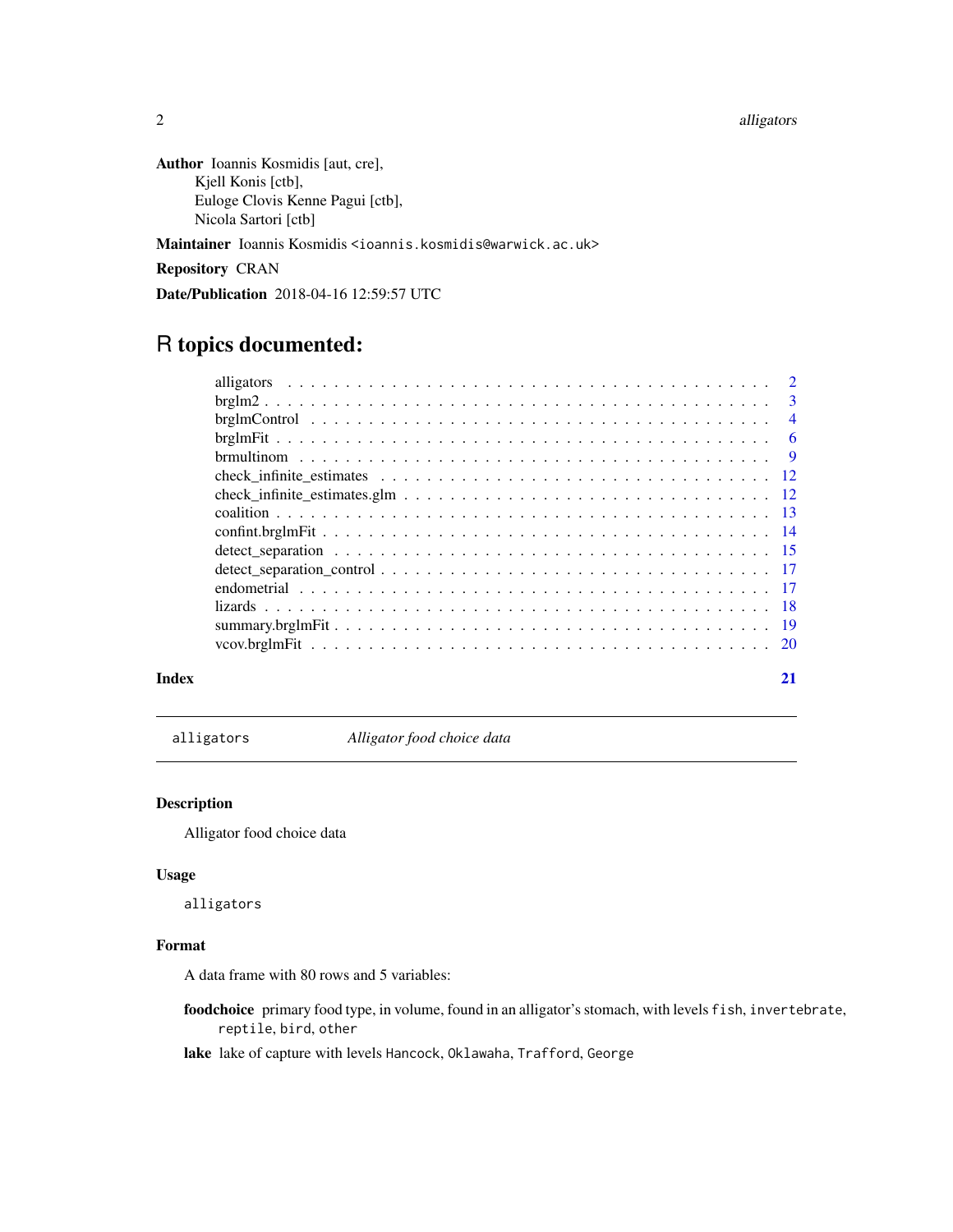<span id="page-1-0"></span>2 alligators and the contract of the contract of the contract of the contract of the contract of the contract of the contract of the contract of the contract of the contract of the contract of the contract of the contract

Author Ioannis Kosmidis [aut, cre], Kjell Konis [ctb], Euloge Clovis Kenne Pagui [ctb], Nicola Sartori [ctb]

Maintainer Ioannis Kosmidis <ioannis.kosmidis@warwick.ac.uk>

Repository CRAN

Date/Publication 2018-04-16 12:59:57 UTC

# R topics documented:

|  | $\overline{2}$ |
|--|----------------|
|  | $\overline{3}$ |
|  | $\overline{4}$ |
|  |                |
|  |                |
|  |                |
|  |                |
|  |                |
|  |                |
|  |                |
|  |                |
|  |                |
|  |                |
|  |                |
|  |                |
|  |                |

# **Index** [21](#page-20-0)

alligators *Alligator food choice data*

# Description

Alligator food choice data

#### Usage

alligators

# Format

A data frame with 80 rows and 5 variables:

foodchoice primary food type, in volume, found in an alligator's stomach, with levels fish, invertebrate, reptile, bird, other

lake lake of capture with levels Hancock, Oklawaha, Trafford, George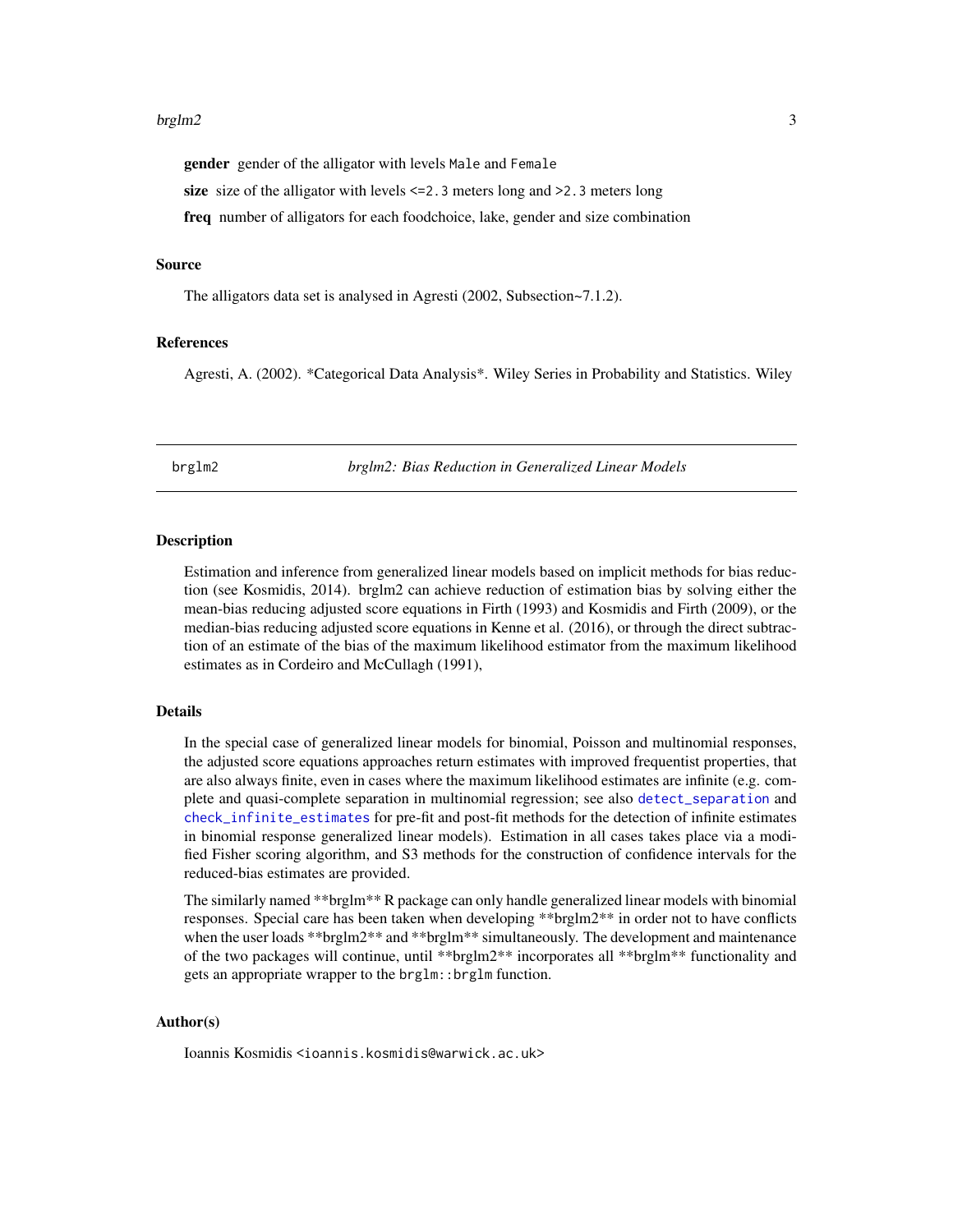#### <span id="page-2-0"></span> $b$ rglm $2$  3

gender gender of the alligator with levels Male and Female

size size of the alligator with levels <=2.3 meters long and >2.3 meters long

freq number of alligators for each foodchoice, lake, gender and size combination

# Source

The alligators data set is analysed in Agresti (2002, Subsection~7.1.2).

# References

Agresti, A. (2002). \*Categorical Data Analysis\*. Wiley Series in Probability and Statistics. Wiley

brglm2 *brglm2: Bias Reduction in Generalized Linear Models*

#### Description

Estimation and inference from generalized linear models based on implicit methods for bias reduction (see Kosmidis, 2014). brglm2 can achieve reduction of estimation bias by solving either the mean-bias reducing adjusted score equations in Firth (1993) and Kosmidis and Firth (2009), or the median-bias reducing adjusted score equations in Kenne et al. (2016), or through the direct subtraction of an estimate of the bias of the maximum likelihood estimator from the maximum likelihood estimates as in Cordeiro and McCullagh (1991),

#### Details

In the special case of generalized linear models for binomial, Poisson and multinomial responses, the adjusted score equations approaches return estimates with improved frequentist properties, that are also always finite, even in cases where the maximum likelihood estimates are infinite (e.g. complete and quasi-complete separation in multinomial regression; see also [detect\\_separation](#page-14-1) and [check\\_infinite\\_estimates](#page-11-1) for pre-fit and post-fit methods for the detection of infinite estimates in binomial response generalized linear models). Estimation in all cases takes place via a modified Fisher scoring algorithm, and S3 methods for the construction of confidence intervals for the reduced-bias estimates are provided.

The similarly named \*\*brglm\*\* R package can only handle generalized linear models with binomial responses. Special care has been taken when developing \*\*brglm2\*\* in order not to have conflicts when the user loads \*\*brglm2\*\* and \*\*brglm<sup>\*\*</sup> simultaneously. The development and maintenance of the two packages will continue, until \*\*brglm2\*\* incorporates all \*\*brglm\*\* functionality and gets an appropriate wrapper to the brglm::brglm function.

#### Author(s)

Ioannis Kosmidis <ioannis.kosmidis@warwick.ac.uk>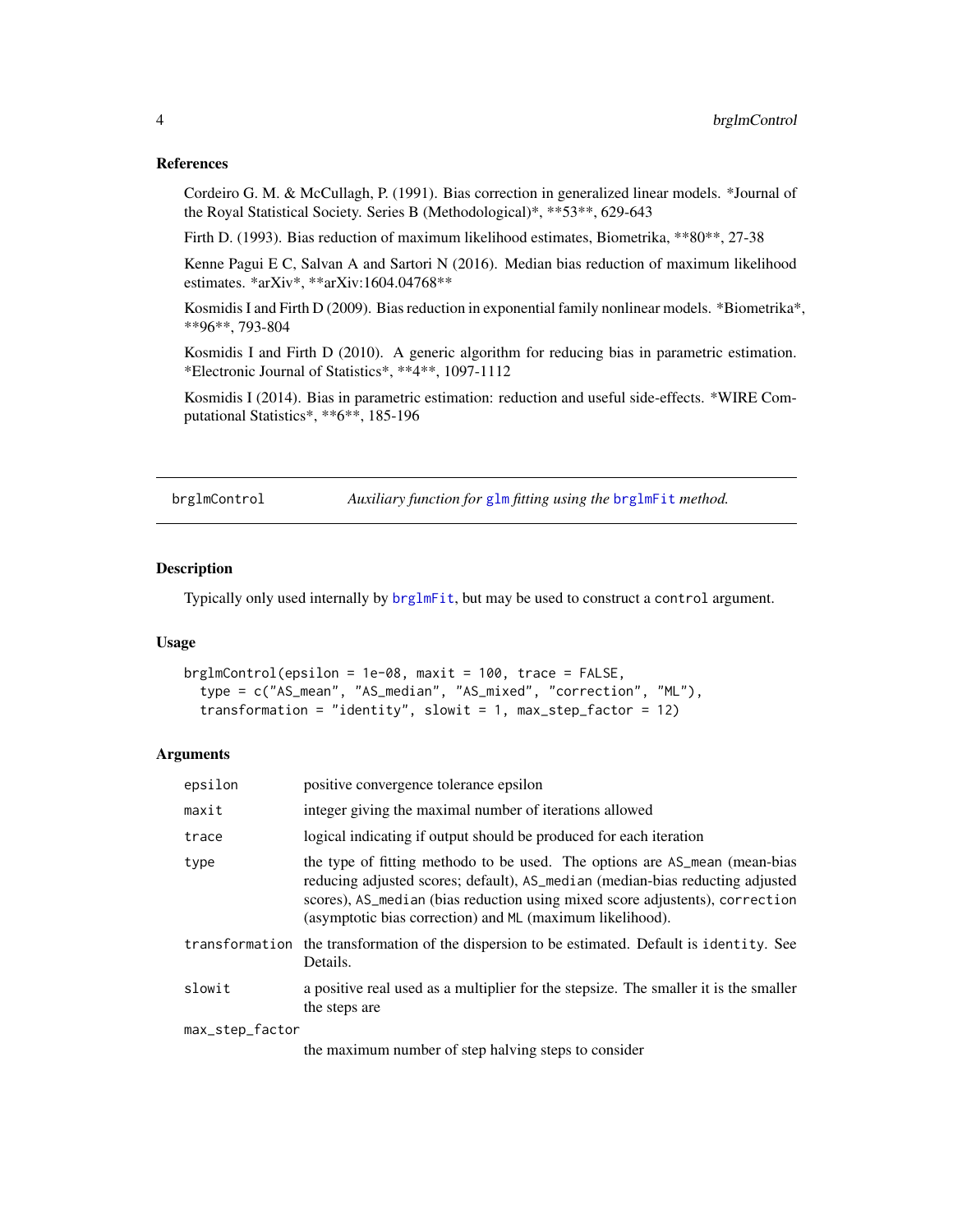# References

Cordeiro G. M. & McCullagh, P. (1991). Bias correction in generalized linear models. \*Journal of the Royal Statistical Society. Series B (Methodological)\*, \*\*53\*\*, 629-643

Firth D. (1993). Bias reduction of maximum likelihood estimates, Biometrika, \*\*80\*\*, 27-38

Kenne Pagui E C, Salvan A and Sartori N (2016). Median bias reduction of maximum likelihood estimates. \*arXiv\*, \*\*arXiv:1604.04768\*\*

Kosmidis I and Firth D (2009). Bias reduction in exponential family nonlinear models. \*Biometrika\*, \*\*96\*\*, 793-804

Kosmidis I and Firth D (2010). A generic algorithm for reducing bias in parametric estimation. \*Electronic Journal of Statistics\*, \*\*4\*\*, 1097-1112

Kosmidis I (2014). Bias in parametric estimation: reduction and useful side-effects. \*WIRE Computational Statistics\*, \*\*6\*\*, 185-196

<span id="page-3-1"></span>

brglmControl *Auxiliary function for* [glm](#page-0-0) *fitting using the* [brglmFit](#page-5-1) *method.*

# Description

Typically only used internally by [brglmFit](#page-5-1), but may be used to construct a control argument.

# Usage

```
brglmControl(epsilon = 1e-08, maxit = 100, trace = FALSE,
  type = c("AS_mean", "AS_median", "AS_mixed", "correction", "ML"),
  transformation = "identity", slowit = 1, max_step_factor = 12)
```

| epsilon         | positive convergence tolerance epsilon                                                                                                                                                                                                                                                                   |
|-----------------|----------------------------------------------------------------------------------------------------------------------------------------------------------------------------------------------------------------------------------------------------------------------------------------------------------|
| maxit           | integer giving the maximal number of iterations allowed                                                                                                                                                                                                                                                  |
| trace           | logical indicating if output should be produced for each iteration                                                                                                                                                                                                                                       |
| type            | the type of fitting methodo to be used. The options are AS_mean (mean-bias<br>reducing adjusted scores; default), AS_median (median-bias reducting adjusted<br>scores), AS_median (bias reduction using mixed score adjustents), correction<br>(asymptotic bias correction) and ML (maximum likelihood). |
|                 | transformation the transformation of the dispersion to be estimated. Default is identity. See<br>Details.                                                                                                                                                                                                |
| slowit          | a positive real used as a multiplier for the stepsize. The smaller it is the smaller<br>the steps are                                                                                                                                                                                                    |
| max_step_factor |                                                                                                                                                                                                                                                                                                          |
|                 | the maximum number of step halving steps to consider                                                                                                                                                                                                                                                     |

<span id="page-3-0"></span>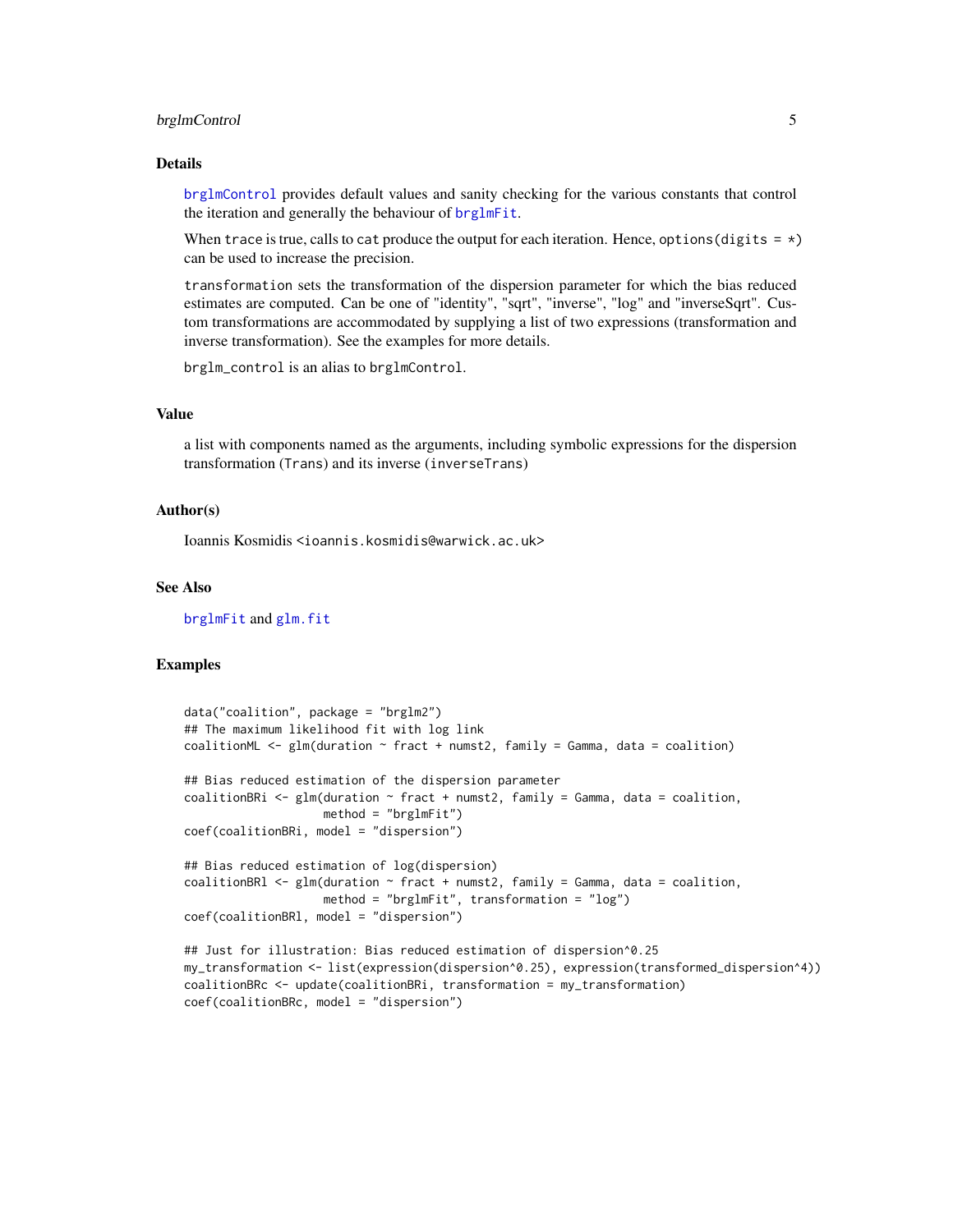# <span id="page-4-0"></span>brglmControl 5

### Details

[brglmControl](#page-3-1) provides default values and sanity checking for the various constants that control the iteration and generally the behaviour of [brglmFit](#page-5-1).

When trace is true, calls to cat produce the output for each iteration. Hence, options (digits  $= *$ ) can be used to increase the precision.

transformation sets the transformation of the dispersion parameter for which the bias reduced estimates are computed. Can be one of "identity", "sqrt", "inverse", "log" and "inverseSqrt". Custom transformations are accommodated by supplying a list of two expressions (transformation and inverse transformation). See the examples for more details.

brglm\_control is an alias to brglmControl.

# Value

a list with components named as the arguments, including symbolic expressions for the dispersion transformation (Trans) and its inverse (inverseTrans)

# Author(s)

Ioannis Kosmidis <ioannis.kosmidis@warwick.ac.uk>

# See Also

[brglmFit](#page-5-1) and [glm.fit](#page-0-0)

# Examples

```
data("coalition", package = "brglm2")
## The maximum likelihood fit with log link
coalitionML \leq glm(duration \sim fract + numst2, family = Gamma, data = coalition)
## Bias reduced estimation of the dispersion parameter
coalitionBRi \leq glm(duration \sim fract + numst2, family = Gamma, data = coalition,
                    method = "brglmFit")
coef(coalitionBRi, model = "dispersion")
## Bias reduced estimation of log(dispersion)
coalitionBRl \leq glm(duration \sim fract + numst2, family = Gamma, data = coalition,
                    method = "brglmFit", transformation = "log")
coef(coalitionBRl, model = "dispersion")
## Just for illustration: Bias reduced estimation of dispersion^0.25
my_transformation <- list(expression(dispersion^0.25), expression(transformed_dispersion^4))
coalitionBRc <- update(coalitionBRi, transformation = my_transformation)
coef(coalitionBRc, model = "dispersion")
```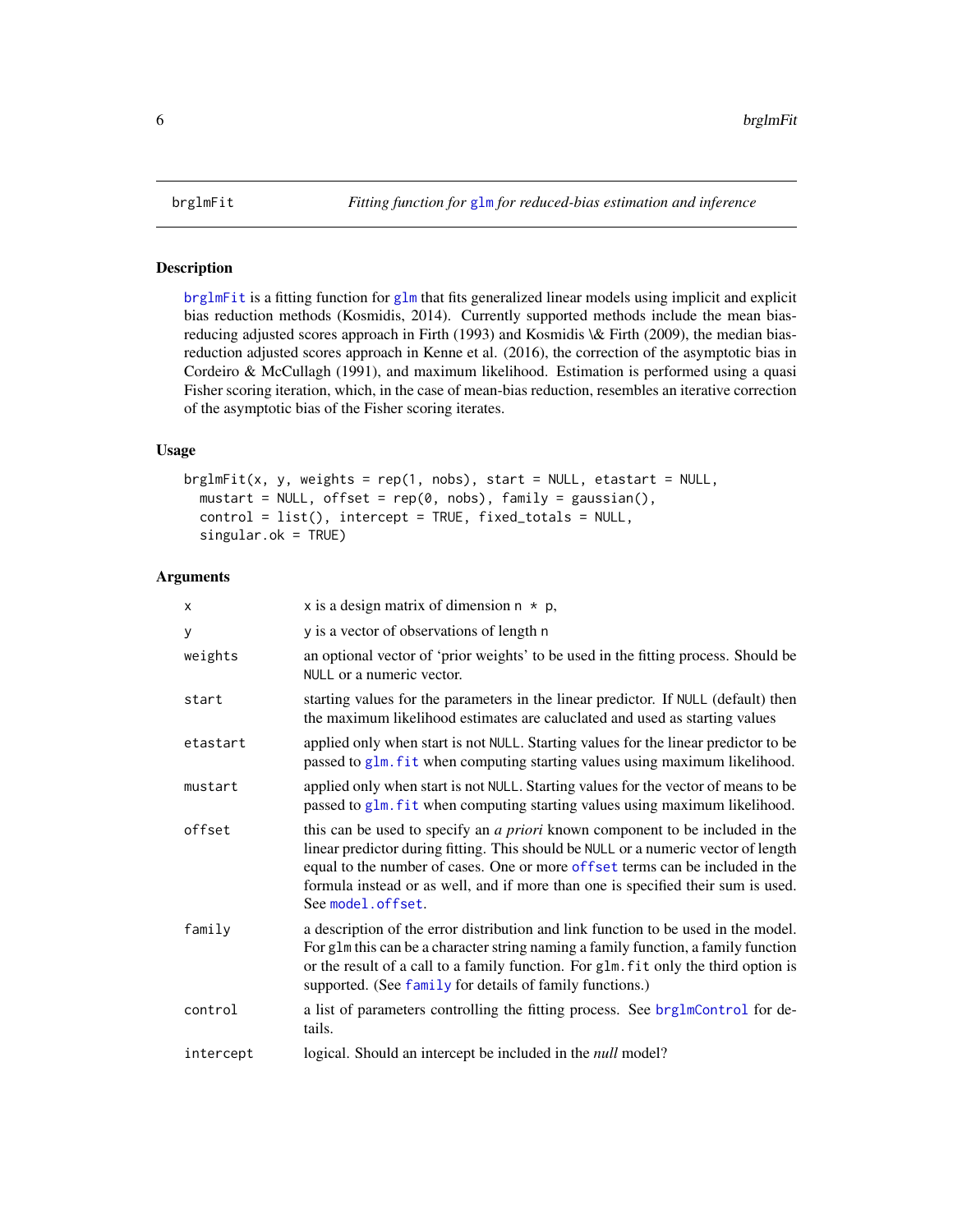<span id="page-5-1"></span><span id="page-5-0"></span>

#### Description

[brglmFit](#page-5-1) is a fitting function for [glm](#page-0-0) that fits generalized linear models using implicit and explicit bias reduction methods (Kosmidis, 2014). Currently supported methods include the mean biasreducing adjusted scores approach in Firth (1993) and Kosmidis \& Firth (2009), the median biasreduction adjusted scores approach in Kenne et al. (2016), the correction of the asymptotic bias in Cordeiro & McCullagh (1991), and maximum likelihood. Estimation is performed using a quasi Fisher scoring iteration, which, in the case of mean-bias reduction, resembles an iterative correction of the asymptotic bias of the Fisher scoring iterates.

# Usage

```
brglmFit(x, y, weights = rep(1, nobs), start = NULL, etastart = NULL,mustart = NULL, offset = rep(0, nobs), family = gaussian(),
 control = list(), intercept = TRUE, fixed_totals = NULL,
  singular.ok = TRUE)
```

| X         | x is a design matrix of dimension $n * p$ ,                                                                                                                                                                                                                                                                                                                          |
|-----------|----------------------------------------------------------------------------------------------------------------------------------------------------------------------------------------------------------------------------------------------------------------------------------------------------------------------------------------------------------------------|
| y         | y is a vector of observations of length n                                                                                                                                                                                                                                                                                                                            |
| weights   | an optional vector of 'prior weights' to be used in the fitting process. Should be<br>NULL or a numeric vector.                                                                                                                                                                                                                                                      |
| start     | starting values for the parameters in the linear predictor. If NULL (default) then<br>the maximum likelihood estimates are caluclated and used as starting values                                                                                                                                                                                                    |
| etastart  | applied only when start is not NULL. Starting values for the linear predictor to be<br>passed to glm. fit when computing starting values using maximum likelihood.                                                                                                                                                                                                   |
| mustart   | applied only when start is not NULL. Starting values for the vector of means to be<br>passed to glm. fit when computing starting values using maximum likelihood.                                                                                                                                                                                                    |
| offset    | this can be used to specify an <i>a priori</i> known component to be included in the<br>linear predictor during fitting. This should be NULL or a numeric vector of length<br>equal to the number of cases. One or more offset terms can be included in the<br>formula instead or as well, and if more than one is specified their sum is used.<br>See model.offset. |
| family    | a description of the error distribution and link function to be used in the model.<br>For glm this can be a character string naming a family function, a family function<br>or the result of a call to a family function. For glm. fit only the third option is<br>supported. (See family for details of family functions.)                                          |
| control   | a list of parameters controlling the fitting process. See brg1mControl for de-<br>tails.                                                                                                                                                                                                                                                                             |
| intercept | logical. Should an intercept be included in the <i>null</i> model?                                                                                                                                                                                                                                                                                                   |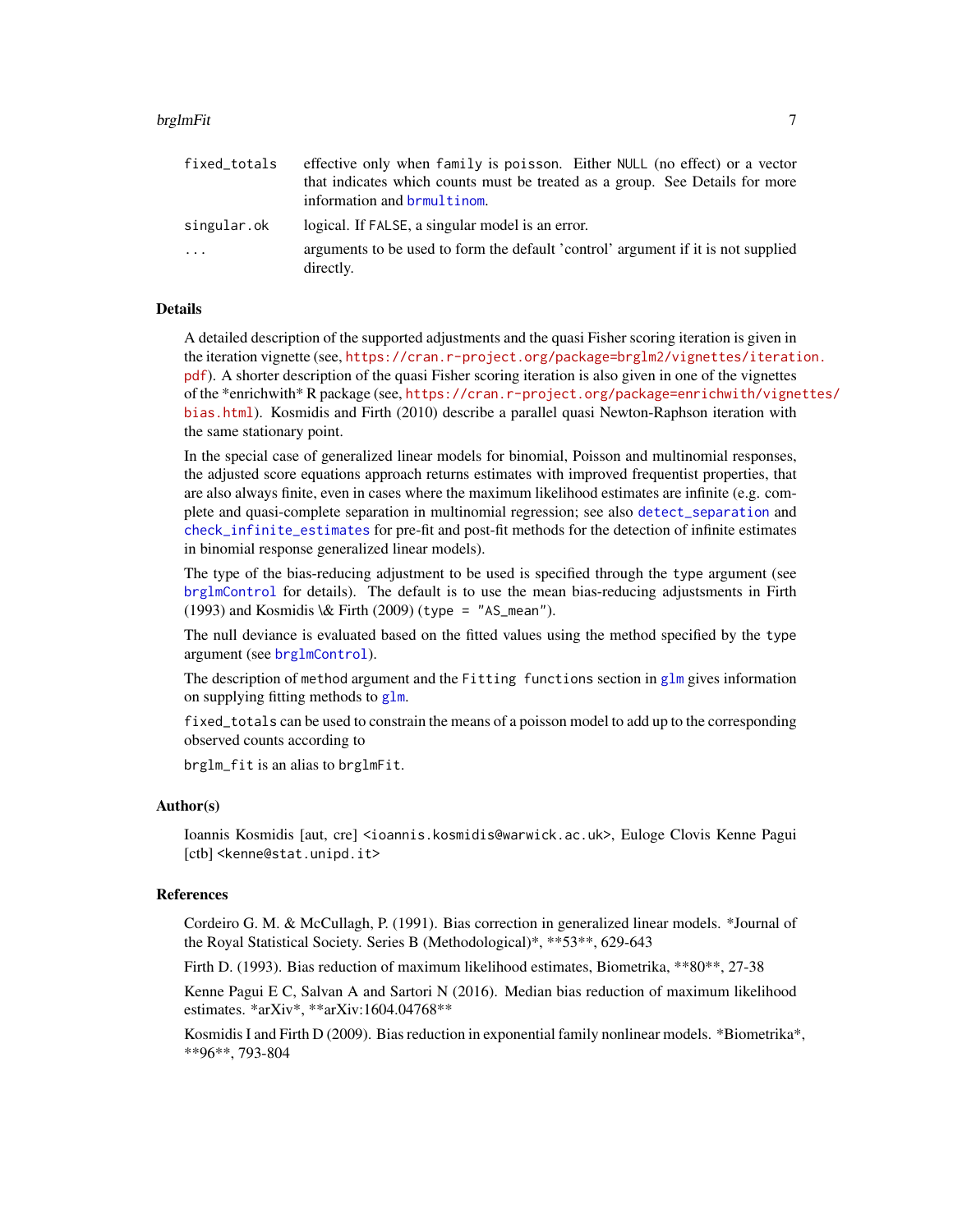#### <span id="page-6-0"></span>brglmFit 7 and 2008 and 2008 and 2008 and 2008 and 2008 and 2008 and 2008 and 2008 and 2008 and 2008 and 2008

| fixed_totals | effective only when family is poisson. Either NULL (no effect) or a vector                     |
|--------------|------------------------------------------------------------------------------------------------|
|              | that indicates which counts must be treated as a group. See Details for more                   |
|              | information and <b>brmultinom</b> .                                                            |
| singular.ok  | logical. If FALSE, a singular model is an error.                                               |
| $\ddots$     | arguments to be used to form the default 'control' argument if it is not supplied<br>directly. |

# Details

A detailed description of the supported adjustments and the quasi Fisher scoring iteration is given in the iteration vignette (see, [https://cran.r-project.org/package=brglm2/vignettes/iterati](https://cran.r-project.org/package=brglm2/vignettes/iteration.pdf)on. [pdf](https://cran.r-project.org/package=brglm2/vignettes/iteration.pdf)). A shorter description of the quasi Fisher scoring iteration is also given in one of the vignettes of the \*enrichwith\* R package (see, [https://cran.r-project.org/package=enrichwith/vigne](https://cran.r-project.org/package=enrichwith/vignettes/bias.html)ttes/ [bias.html](https://cran.r-project.org/package=enrichwith/vignettes/bias.html)). Kosmidis and Firth (2010) describe a parallel quasi Newton-Raphson iteration with the same stationary point.

In the special case of generalized linear models for binomial, Poisson and multinomial responses, the adjusted score equations approach returns estimates with improved frequentist properties, that are also always finite, even in cases where the maximum likelihood estimates are infinite (e.g. complete and quasi-complete separation in multinomial regression; see also [detect\\_separation](#page-14-1) and [check\\_infinite\\_estimates](#page-11-1) for pre-fit and post-fit methods for the detection of infinite estimates in binomial response generalized linear models).

The type of the bias-reducing adjustment to be used is specified through the type argument (see [brglmControl](#page-3-1) for details). The default is to use the mean bias-reducing adjustsments in Firth (1993) and Kosmidis \& Firth (2009) (type = "AS\_mean").

The null deviance is evaluated based on the fitted values using the method specified by the type argument (see [brglmControl](#page-3-1)).

The description of method argument and the Fitting functions section in  $g1m$  gives information on supplying fitting methods to  $g1m$ .

fixed\_totals can be used to constrain the means of a poisson model to add up to the corresponding observed counts according to

brglm\_fit is an alias to brglmFit.

# Author(s)

Ioannis Kosmidis [aut, cre] <ioannis.kosmidis@warwick.ac.uk>, Euloge Clovis Kenne Pagui [ctb] <kenne@stat.unipd.it>

#### References

Cordeiro G. M. & McCullagh, P. (1991). Bias correction in generalized linear models. \*Journal of the Royal Statistical Society. Series B (Methodological)\*, \*\*53\*\*, 629-643

Firth D. (1993). Bias reduction of maximum likelihood estimates, Biometrika, \*\*80\*\*, 27-38

Kenne Pagui E C, Salvan A and Sartori N (2016). Median bias reduction of maximum likelihood estimates. \*arXiv\*, \*\*arXiv:1604.04768\*\*

Kosmidis I and Firth D (2009). Bias reduction in exponential family nonlinear models. \*Biometrika\*, \*\*96\*\*, 793-804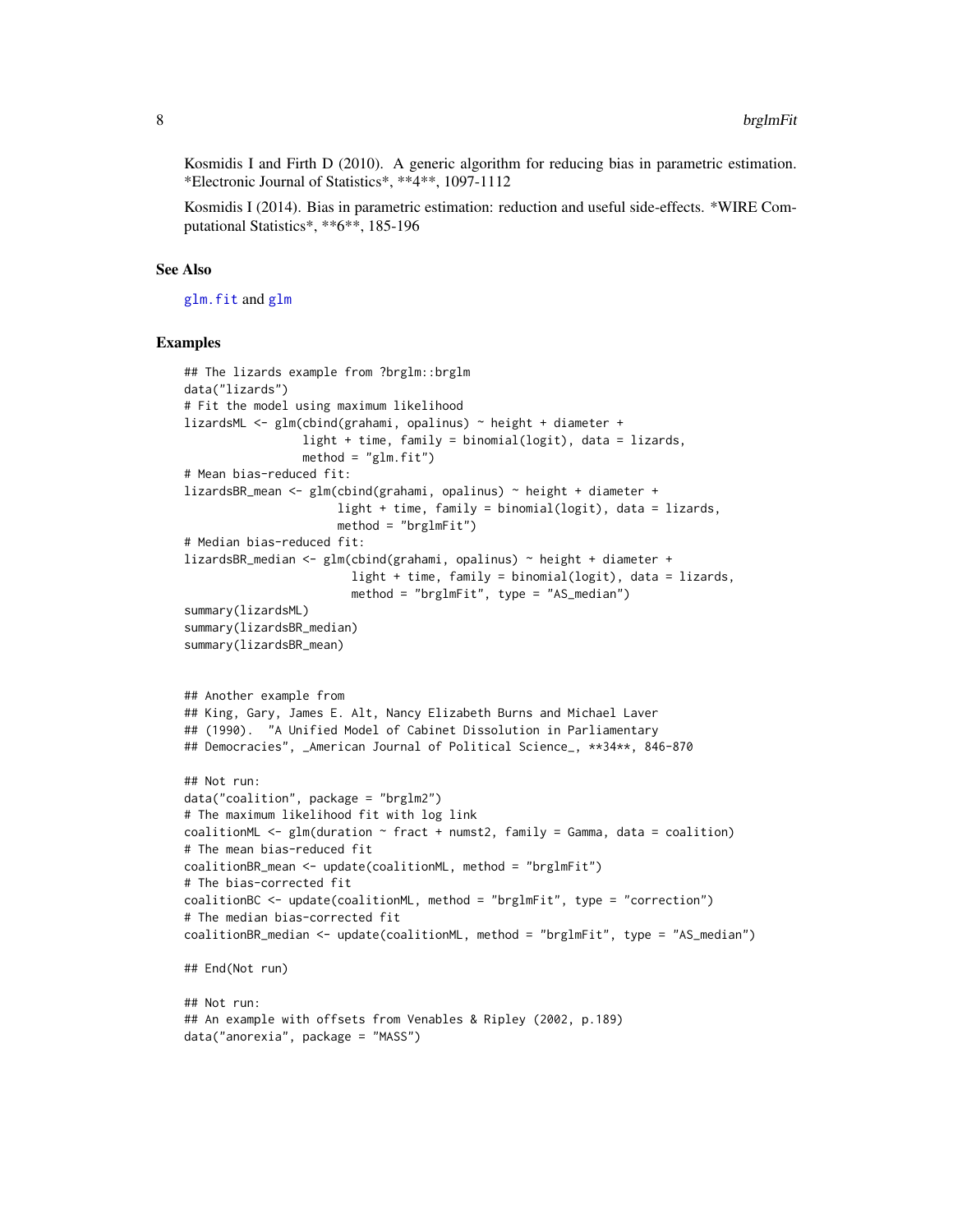<span id="page-7-0"></span>Kosmidis I and Firth D (2010). A generic algorithm for reducing bias in parametric estimation. \*Electronic Journal of Statistics\*, \*\*4\*\*, 1097-1112

Kosmidis I (2014). Bias in parametric estimation: reduction and useful side-effects. \*WIRE Computational Statistics\*, \*\*6\*\*, 185-196

#### See Also

[glm.fit](#page-0-0) and [glm](#page-0-0)

#### Examples

```
## The lizards example from ?brglm::brglm
data("lizards")
# Fit the model using maximum likelihood
lizardsML <- glm(cbind(grahami, opalinus) ~ height + diameter +
                 light + time, family = binomial(logit), data = lizards,
                 method = "glm.fit")# Mean bias-reduced fit:
lizardsBR_mean <- glm(cbind(grahami, opalinus) ~ height + diameter +
                      light + time, family = binomial(logit), data = lizards,
                      method = "brglmFit")
# Median bias-reduced fit:
lizardsBR_median <- glm(cbind(grahami, opalinus) ~ height + diameter +
                        light + time, family = binomial(logit), data = lizards,
                        method = "brglmFit", type = "AS_median")
summary(lizardsML)
summary(lizardsBR_median)
summary(lizardsBR_mean)
## Another example from
## King, Gary, James E. Alt, Nancy Elizabeth Burns and Michael Laver
## (1990). "A Unified Model of Cabinet Dissolution in Parliamentary
## Democracies", _American Journal of Political Science_, **34**, 846-870
## Not run:
data("coalition", package = "brglm2")
# The maximum likelihood fit with log link
coalitionML \leq glm(duration \sim fract + numst2, family = Gamma, data = coalition)
# The mean bias-reduced fit
coalitionBR_mean <- update(coalitionML, method = "brglmFit")
# The bias-corrected fit
coalitionBC <- update(coalitionML, method = "brglmFit", type = "correction")
# The median bias-corrected fit
coalitionBR_median <- update(coalitionML, method = "brglmFit", type = "AS_median")
## End(Not run)
## Not run:
## An example with offsets from Venables & Ripley (2002, p.189)
data("anorexia", package = "MASS")
```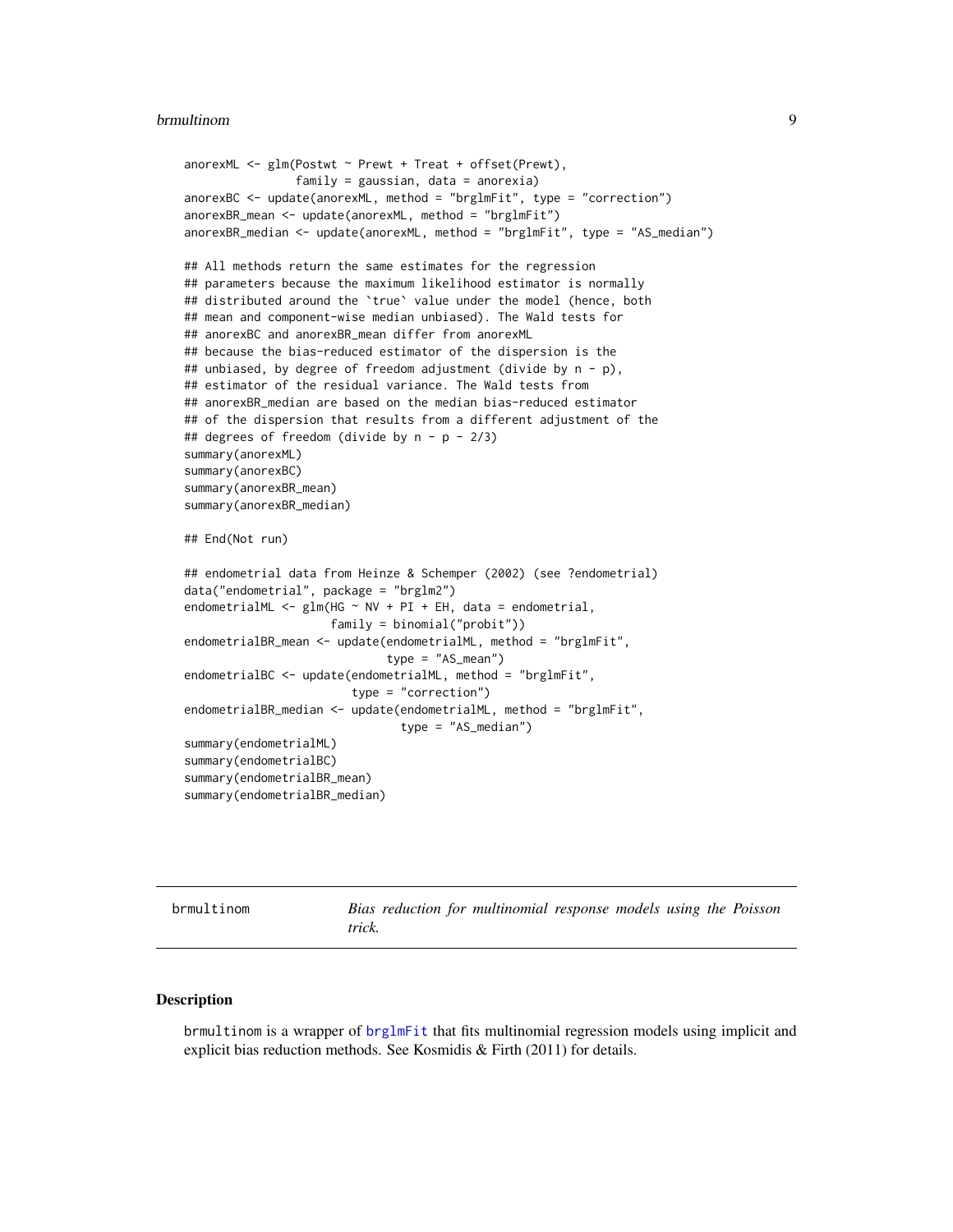#### <span id="page-8-0"></span>brmultinom 9

```
anorexML <- glm(Postwt ~ Prewt + Treat + offset(Prewt),
                family = gaussian, data = anorexia)anorexBC <- update(anorexML, method = "brglmFit", type = "correction")
anorexBR_mean <- update(anorexML, method = "brglmFit")
anorexBR_median <- update(anorexML, method = "brglmFit", type = "AS_median")
## All methods return the same estimates for the regression
## parameters because the maximum likelihood estimator is normally
## distributed around the `true` value under the model (hence, both
## mean and component-wise median unbiased). The Wald tests for
## anorexBC and anorexBR_mean differ from anorexML
## because the bias-reduced estimator of the dispersion is the
## unbiased, by degree of freedom adjustment (divide by n - p),
## estimator of the residual variance. The Wald tests from
## anorexBR_median are based on the median bias-reduced estimator
## of the dispersion that results from a different adjustment of the
## degrees of freedom (divide by n - p - 2/3)
summary(anorexML)
summary(anorexBC)
summary(anorexBR_mean)
summary(anorexBR_median)
## End(Not run)
## endometrial data from Heinze & Schemper (2002) (see ?endometrial)
data("endometrial", package = "brglm2")
endometrialML \leq glm(HG \sim NV + PI + EH, data = endometrial,
                     family = binomial("probit"))
endometrialBR_mean <- update(endometrialML, method = "brglmFit",
                             type = "AS_mean")
endometrialBC <- update(endometrialML, method = "brglmFit",
                        type = "correction")
endometrialBR_median <- update(endometrialML, method = "brglmFit",
                               type = "AS_median")
summary(endometrialML)
summary(endometrialBC)
summary(endometrialBR_mean)
summary(endometrialBR_median)
```
<span id="page-8-1"></span>

|  |  |  | brmultinom |  |
|--|--|--|------------|--|
|  |  |  |            |  |

Bias reduction for multinomial response models using the Poisson *trick.*

# **Description**

brmultinom is a wrapper of [brglmFit](#page-5-1) that fits multinomial regression models using implicit and explicit bias reduction methods. See Kosmidis & Firth (2011) for details.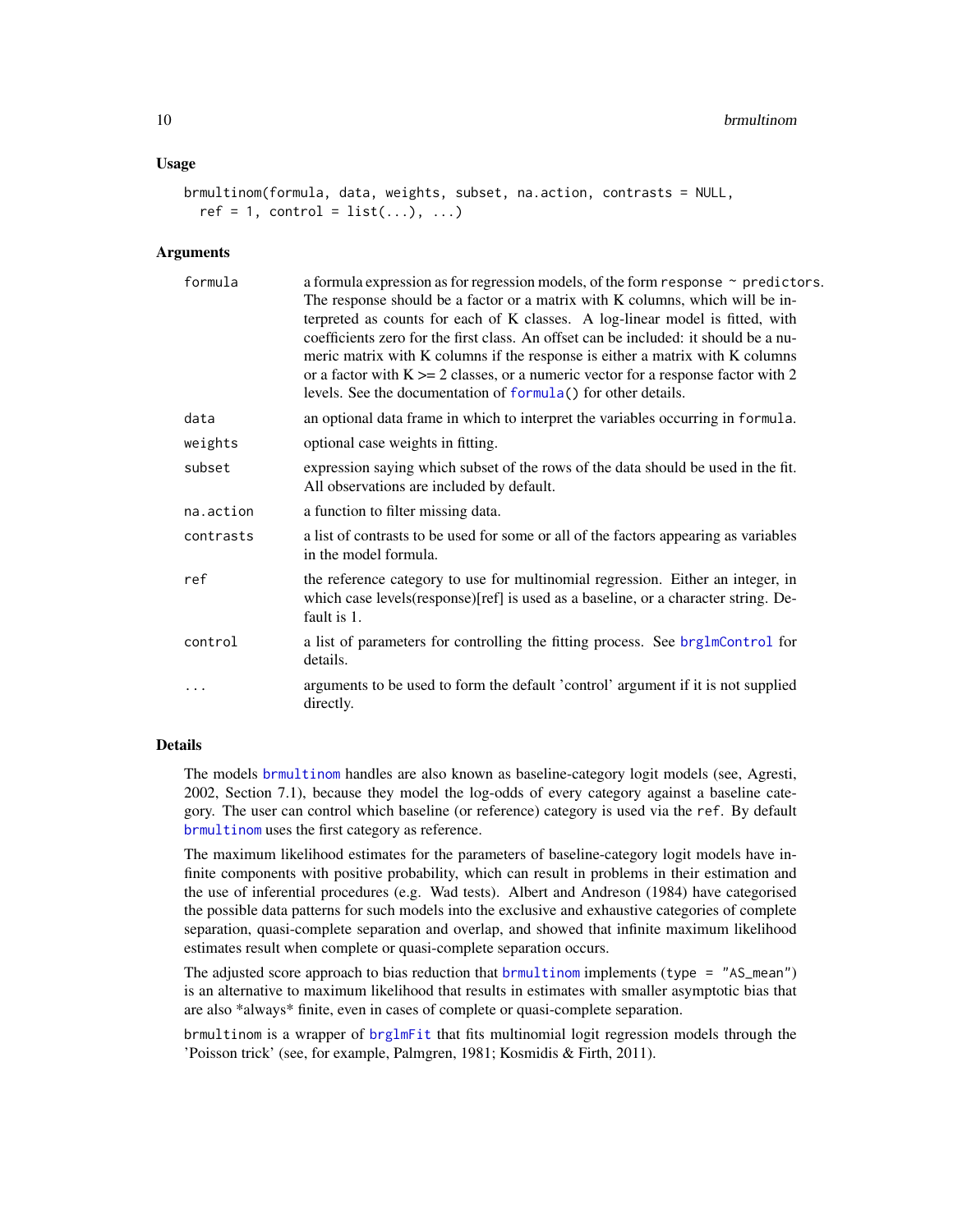#### <span id="page-9-0"></span>Usage

```
brmultinom(formula, data, weights, subset, na.action, contrasts = NULL,
 ref = 1, control = list(...), ...
```
#### Arguments

| formula   | a formula expression as for regression models, of the form response $\sim$ predictors.<br>The response should be a factor or a matrix with K columns, which will be in-<br>terpreted as counts for each of K classes. A log-linear model is fitted, with<br>coefficients zero for the first class. An offset can be included: it should be a nu-<br>meric matrix with K columns if the response is either a matrix with K columns<br>or a factor with $K \ge 2$ classes, or a numeric vector for a response factor with 2<br>levels. See the documentation of formula() for other details. |
|-----------|--------------------------------------------------------------------------------------------------------------------------------------------------------------------------------------------------------------------------------------------------------------------------------------------------------------------------------------------------------------------------------------------------------------------------------------------------------------------------------------------------------------------------------------------------------------------------------------------|
| data      | an optional data frame in which to interpret the variables occurring in formula.                                                                                                                                                                                                                                                                                                                                                                                                                                                                                                           |
| weights   | optional case weights in fitting.                                                                                                                                                                                                                                                                                                                                                                                                                                                                                                                                                          |
| subset    | expression saying which subset of the rows of the data should be used in the fit.<br>All observations are included by default.                                                                                                                                                                                                                                                                                                                                                                                                                                                             |
| na.action | a function to filter missing data.                                                                                                                                                                                                                                                                                                                                                                                                                                                                                                                                                         |
| contrasts | a list of contrasts to be used for some or all of the factors appearing as variables<br>in the model formula.                                                                                                                                                                                                                                                                                                                                                                                                                                                                              |
| ref       | the reference category to use for multinomial regression. Either an integer, in<br>which case levels (response) [ref] is used as a baseline, or a character string. De-<br>fault is 1.                                                                                                                                                                                                                                                                                                                                                                                                     |
| control   | a list of parameters for controlling the fitting process. See brg1mControl for<br>details.                                                                                                                                                                                                                                                                                                                                                                                                                                                                                                 |
| $\ddotsc$ | arguments to be used to form the default 'control' argument if it is not supplied<br>directly.                                                                                                                                                                                                                                                                                                                                                                                                                                                                                             |

# Details

The models [brmultinom](#page-8-1) handles are also known as baseline-category logit models (see, Agresti, 2002, Section 7.1), because they model the log-odds of every category against a baseline category. The user can control which baseline (or reference) category is used via the ref. By default [brmultinom](#page-8-1) uses the first category as reference.

The maximum likelihood estimates for the parameters of baseline-category logit models have infinite components with positive probability, which can result in problems in their estimation and the use of inferential procedures (e.g. Wad tests). Albert and Andreson (1984) have categorised the possible data patterns for such models into the exclusive and exhaustive categories of complete separation, quasi-complete separation and overlap, and showed that infinite maximum likelihood estimates result when complete or quasi-complete separation occurs.

The adjusted score approach to bias reduction that [brmultinom](#page-8-1) implements (type =  $"AS_mean"$ ) is an alternative to maximum likelihood that results in estimates with smaller asymptotic bias that are also \*always\* finite, even in cases of complete or quasi-complete separation.

brmultinom is a wrapper of [brglmFit](#page-5-1) that fits multinomial logit regression models through the 'Poisson trick' (see, for example, Palmgren, 1981; Kosmidis & Firth, 2011).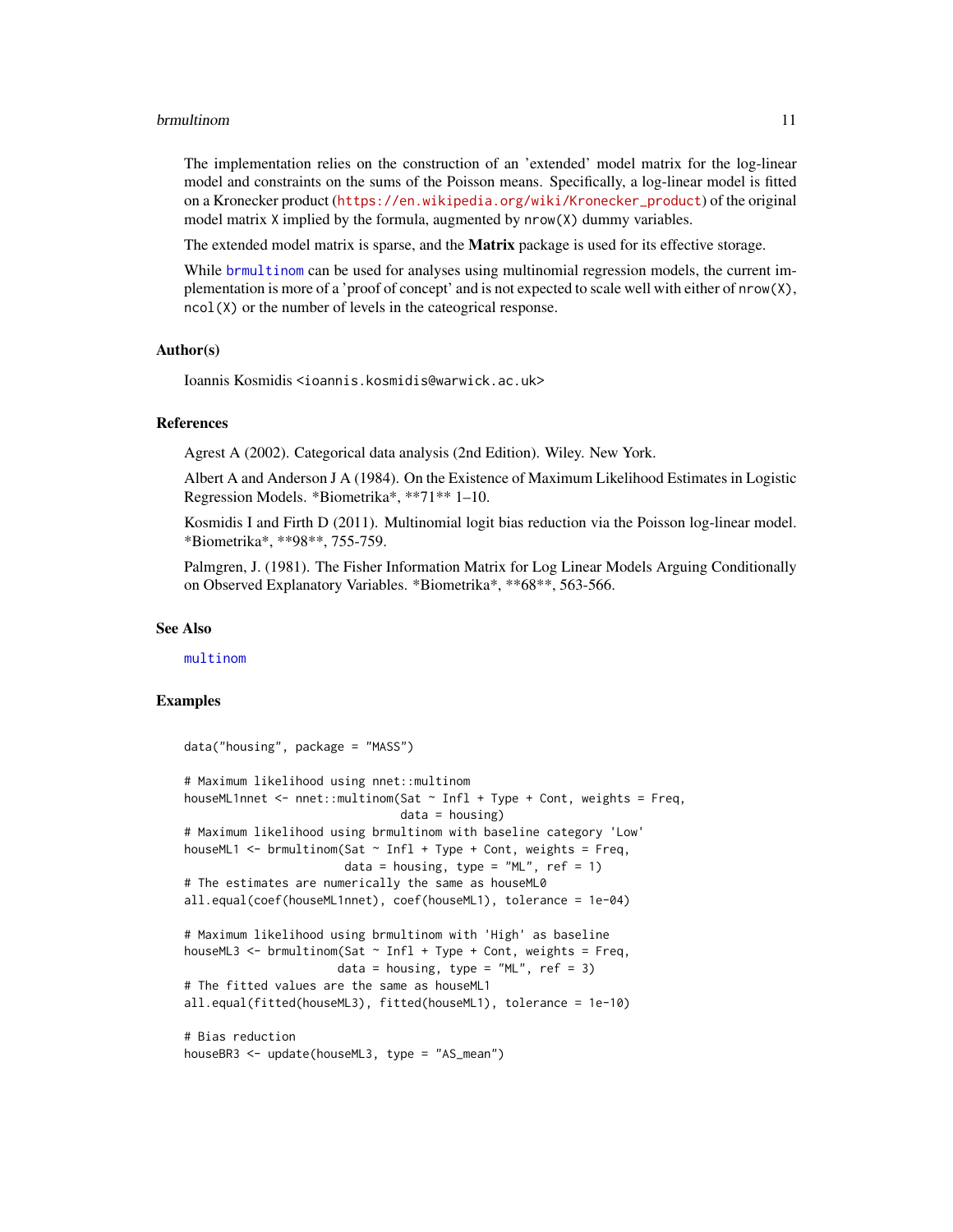#### <span id="page-10-0"></span>brmultinom 11

The implementation relies on the construction of an 'extended' model matrix for the log-linear model and constraints on the sums of the Poisson means. Specifically, a log-linear model is fitted on a Kronecker product ([https://en.wikipedia.org/wiki/Kronecker\\_product](https://en.wikipedia.org/wiki/Kronecker_product)) of the original model matrix X implied by the formula, augmented by nrow(X) dummy variables.

The extended model matrix is sparse, and the **Matrix** package is used for its effective storage.

While [brmultinom](#page-8-1) can be used for analyses using multinomial regression models, the current implementation is more of a 'proof of concept' and is not expected to scale well with either of  $nrow(X)$ , ncol(X) or the number of levels in the cateogrical response.

# Author(s)

Ioannis Kosmidis <ioannis.kosmidis@warwick.ac.uk>

#### References

Agrest A (2002). Categorical data analysis (2nd Edition). Wiley. New York.

Albert A and Anderson J A (1984). On the Existence of Maximum Likelihood Estimates in Logistic Regression Models. \*Biometrika\*, \*\*71\*\* 1–10.

Kosmidis I and Firth D (2011). Multinomial logit bias reduction via the Poisson log-linear model. \*Biometrika\*, \*\*98\*\*, 755-759.

Palmgren, J. (1981). The Fisher Information Matrix for Log Linear Models Arguing Conditionally on Observed Explanatory Variables. \*Biometrika\*, \*\*68\*\*, 563-566.

#### See Also

[multinom](#page-0-0)

### Examples

```
data("housing", package = "MASS")
# Maximum likelihood using nnet::multinom
houseML1nnet <- nnet::multinom(Sat ~ Infl + Type + Cont, weights = Freq,
                               data = housing)
# Maximum likelihood using brmultinom with baseline category 'Low'
houseML1 \leq brmultinom(Sat \sim Infl + Type + Cont, weights = Freq,
                       data = housing, type = M'. ref = 1)
# The estimates are numerically the same as houseML0
all.equal(coef(houseML1nnet), coef(houseML1), tolerance = 1e-04)
# Maximum likelihood using brmultinom with 'High' as baseline
houseML3 <- brmultinom(Sat \sim Infl + Type + Cont, weights = Freq,
                      data = housing, type = M_{\text{L}}, ref = 3)
# The fitted values are the same as houseML1
all.equal(fitted(houseML3), fitted(houseML1), tolerance = 1e-10)
# Bias reduction
houseBR3 <- update(houseML3, type = "AS_mean")
```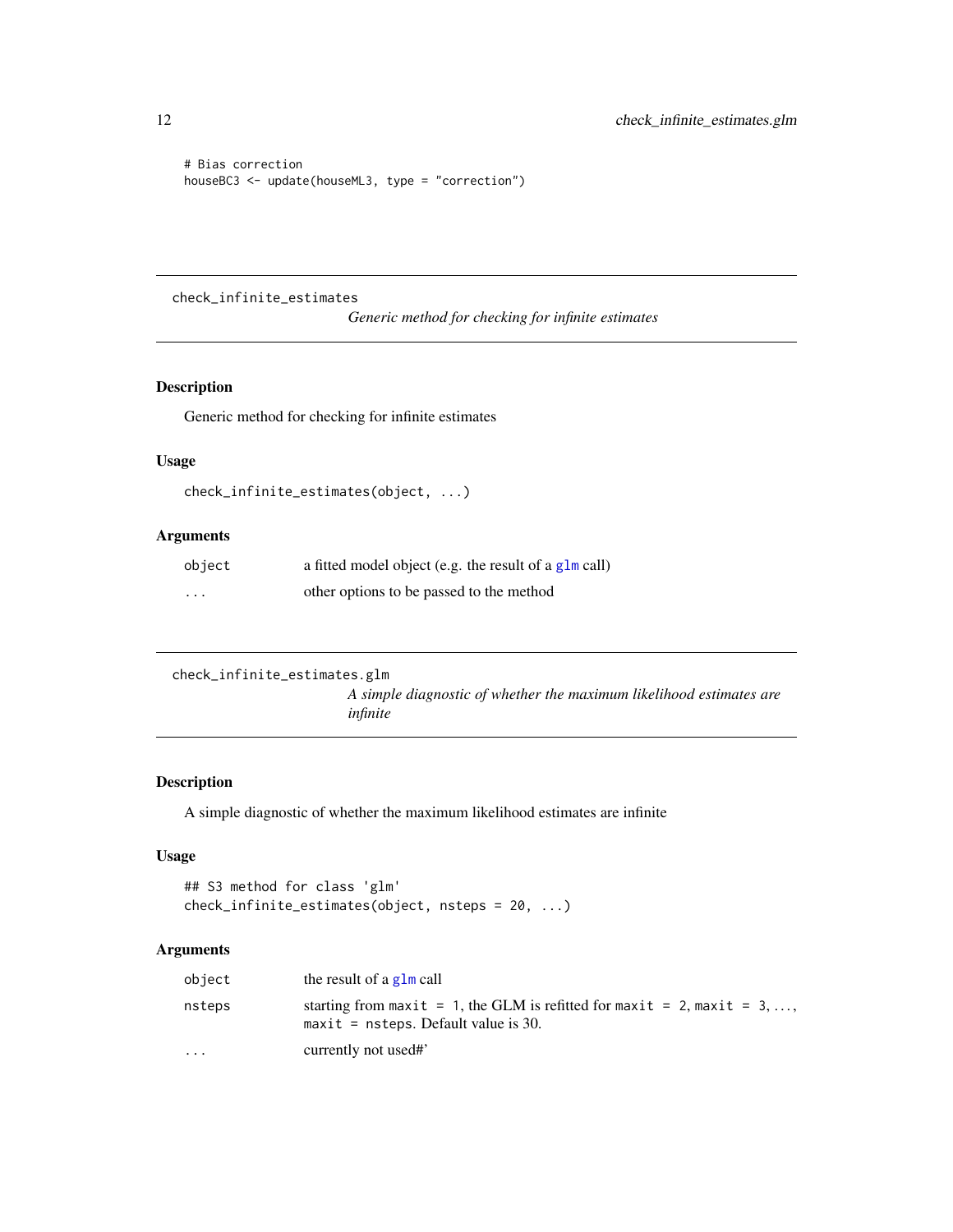```
# Bias correction
houseBC3 <- update(houseML3, type = "correction")
```
<span id="page-11-1"></span>check\_infinite\_estimates

*Generic method for checking for infinite estimates*

# Description

Generic method for checking for infinite estimates

# Usage

```
check_infinite_estimates(object, ...)
```
# Arguments

| object   | a fitted model object (e.g. the result of a $g1m$ call) |
|----------|---------------------------------------------------------|
| $\cdots$ | other options to be passed to the method                |

```
check_infinite_estimates.glm
```
*A simple diagnostic of whether the maximum likelihood estimates are infinite*

# Description

A simple diagnostic of whether the maximum likelihood estimates are infinite

# Usage

```
## S3 method for class 'glm'
check_infinite_estimates(object, nsteps = 20, ...)
```

| object    | the result of a $g1m$ call                                                                                         |
|-----------|--------------------------------------------------------------------------------------------------------------------|
| nsteps    | starting from maxit = 1, the GLM is refitted for maxit = 2, maxit = 3, ,<br>$maxit =$ nsteps. Default value is 30. |
| $\ddotsc$ | currently not used#                                                                                                |

<span id="page-11-0"></span>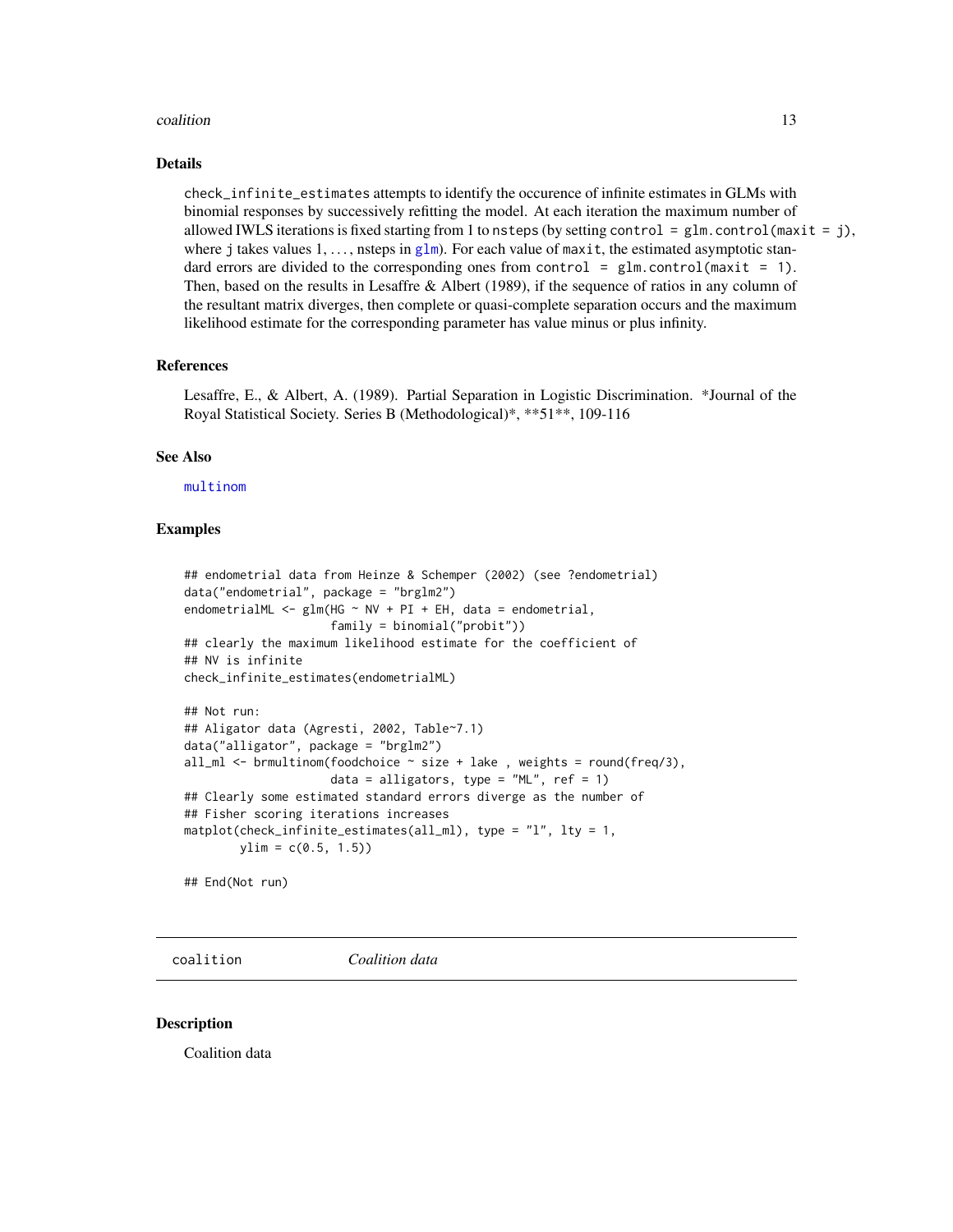#### <span id="page-12-0"></span>coalition to the control of the control of the control of the control of the control of the control of the control of the control of the control of the control of the control of the control of the control of the control of

#### Details

check\_infinite\_estimates attempts to identify the occurence of infinite estimates in GLMs with binomial responses by successively refitting the model. At each iteration the maximum number of allowed IWLS iterations is fixed starting from 1 to nsteps (by setting control = glm.control (maxit = j), where j takes values  $1, \ldots$ , nsteps in [glm](#page-0-0)). For each value of maxit, the estimated asymptotic standard errors are divided to the corresponding ones from control =  $glm$  control (maxit = 1). Then, based on the results in Lesaffre & Albert (1989), if the sequence of ratios in any column of the resultant matrix diverges, then complete or quasi-complete separation occurs and the maximum likelihood estimate for the corresponding parameter has value minus or plus infinity.

#### References

Lesaffre, E., & Albert, A. (1989). Partial Separation in Logistic Discrimination. \*Journal of the Royal Statistical Society. Series B (Methodological)\*, \*\*51\*\*, 109-116

# See Also

[multinom](#page-0-0)

# Examples

```
## endometrial data from Heinze & Schemper (2002) (see ?endometrial)
data("endometrial", package = "brglm2")
endometrialML \leq glm(HG \sim NV + PI + EH, data = endometrial,
                     family = binomial("probit"))
## clearly the maximum likelihood estimate for the coefficient of
## NV is infinite
check_infinite_estimates(endometrialML)
```

```
## Not run:
## Aligator data (Agresti, 2002, Table~7.1)
data("alligator", package = "brglm2")
all_ml <- brmultinom(foodchoice \sim size + lake, weights = round(freq/3),
                     data = alligators, type = m_1, ref = 1)
## Clearly some estimated standard errors diverge as the number of
## Fisher scoring iterations increases
matplot(check_infinite_estimates(all_ml), type = "l", lty = 1,
       ylim = c(0.5, 1.5)
```
## End(Not run)

coalition *Coalition data*

#### Description

Coalition data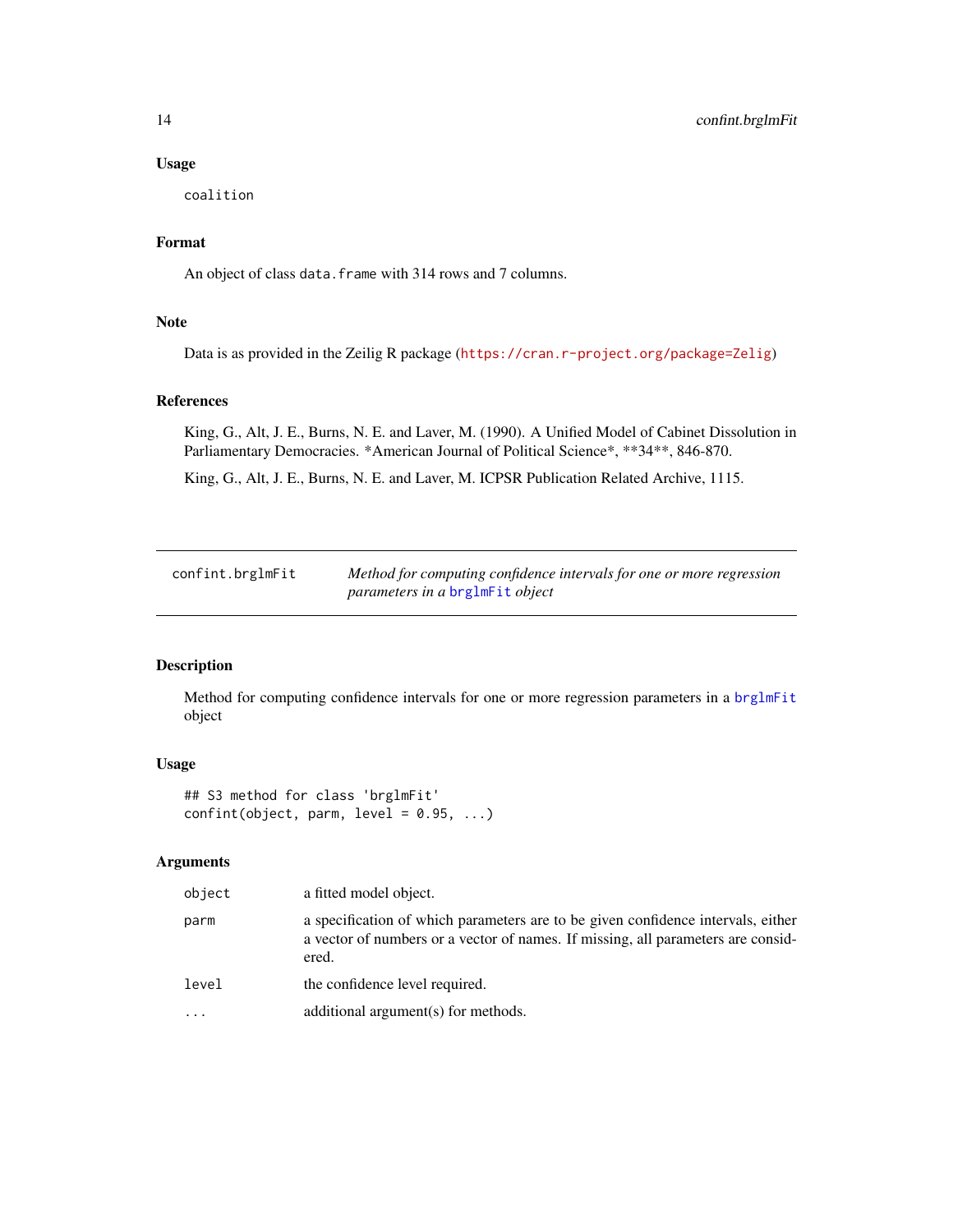# Usage

coalition

# Format

An object of class data. frame with 314 rows and 7 columns.

# Note

Data is as provided in the Zeilig R package (<https://cran.r-project.org/package=Zelig>)

# References

King, G., Alt, J. E., Burns, N. E. and Laver, M. (1990). A Unified Model of Cabinet Dissolution in Parliamentary Democracies. \*American Journal of Political Science\*, \*\*34\*\*, 846-870.

King, G., Alt, J. E., Burns, N. E. and Laver, M. ICPSR Publication Related Archive, 1115.

| confint.brglmFit | Method for computing confidence intervals for one or more regression |
|------------------|----------------------------------------------------------------------|
|                  | <i>parameters in a brglmFit object</i>                               |

# Description

Method for computing confidence intervals for one or more regression parameters in a [brglmFit](#page-5-1) object

# Usage

```
## S3 method for class 'brglmFit'
confint(object, parm, level = 0.95, ...)
```

| object   | a fitted model object.                                                                                                                                                        |
|----------|-------------------------------------------------------------------------------------------------------------------------------------------------------------------------------|
| parm     | a specification of which parameters are to be given confidence intervals, either<br>a vector of numbers or a vector of names. If missing, all parameters are consid-<br>ered. |
| level    | the confidence level required.                                                                                                                                                |
| $\cdots$ | additional argument(s) for methods.                                                                                                                                           |

<span id="page-13-0"></span>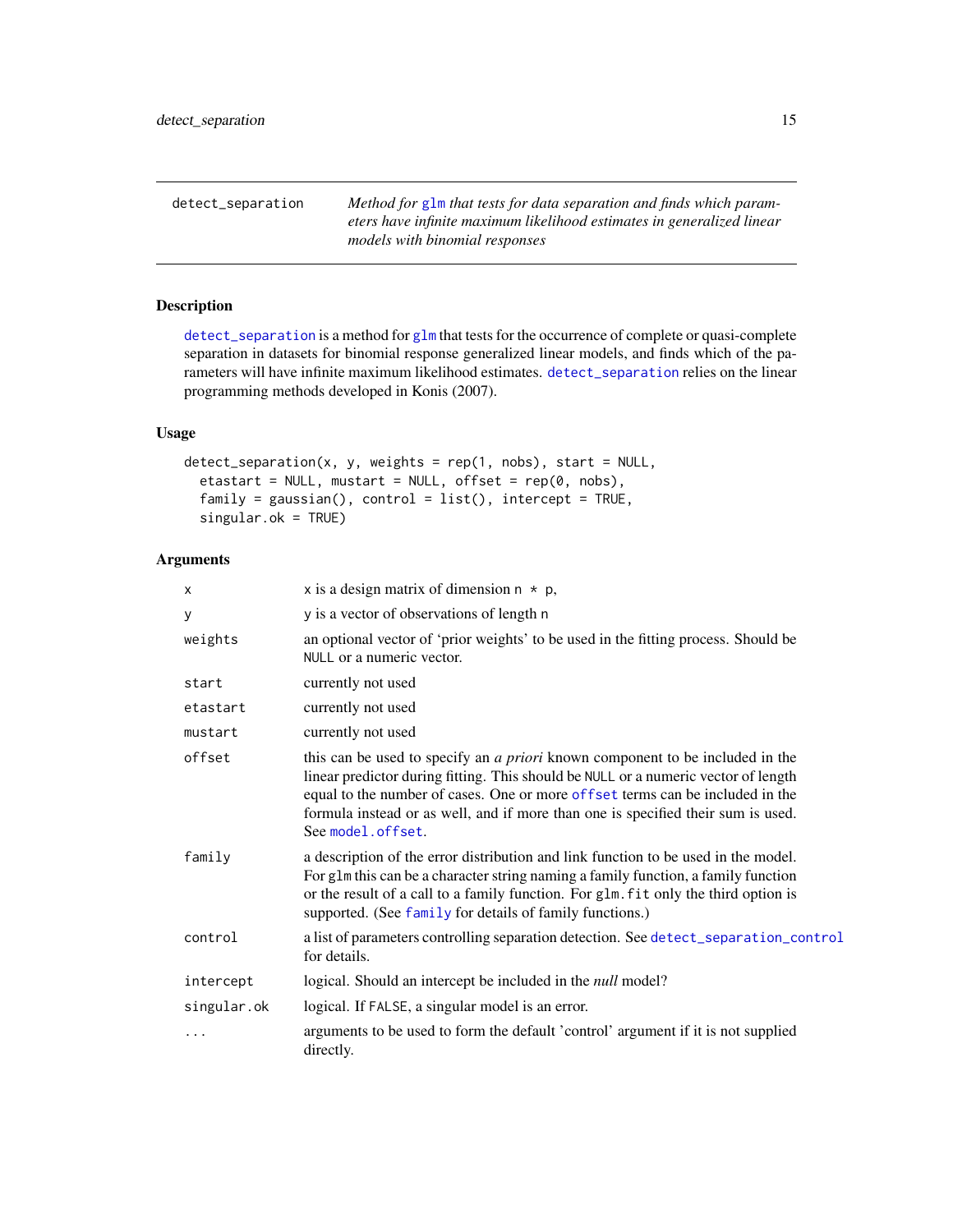<span id="page-14-1"></span><span id="page-14-0"></span>detect\_separation *Method for* [glm](#page-0-0) *that tests for data separation and finds which parameters have infinite maximum likelihood estimates in generalized linear models with binomial responses*

# Description

[detect\\_separation](#page-14-1) is a method for [glm](#page-0-0) that tests for the occurrence of complete or quasi-complete separation in datasets for binomial response generalized linear models, and finds which of the parameters will have infinite maximum likelihood estimates. [detect\\_separation](#page-14-1) relies on the linear programming methods developed in Konis (2007).

# Usage

```
detect_separation(x, y, weights = rep(1, nobs), start = NULL,
  etastart = NULL, mustart = NULL, offset = rep(0, nobs),
  family = gaussian(), control = list(), intercept = TRUE,singular.ok = TRUE)
```

| X           | x is a design matrix of dimension $n * p$ ,                                                                                                                                                                                                                                                                                                                          |
|-------------|----------------------------------------------------------------------------------------------------------------------------------------------------------------------------------------------------------------------------------------------------------------------------------------------------------------------------------------------------------------------|
| у           | y is a vector of observations of length n                                                                                                                                                                                                                                                                                                                            |
| weights     | an optional vector of 'prior weights' to be used in the fitting process. Should be<br>NULL or a numeric vector.                                                                                                                                                                                                                                                      |
| start       | currently not used                                                                                                                                                                                                                                                                                                                                                   |
| etastart    | currently not used                                                                                                                                                                                                                                                                                                                                                   |
| mustart     | currently not used                                                                                                                                                                                                                                                                                                                                                   |
| offset      | this can be used to specify an <i>a priori</i> known component to be included in the<br>linear predictor during fitting. This should be NULL or a numeric vector of length<br>equal to the number of cases. One or more offset terms can be included in the<br>formula instead or as well, and if more than one is specified their sum is used.<br>See model.offset. |
| family      | a description of the error distribution and link function to be used in the model.<br>For g1m this can be a character string naming a family function, a family function<br>or the result of a call to a family function. For glm. fit only the third option is<br>supported. (See family for details of family functions.)                                          |
| control     | a list of parameters controlling separation detection. See detect_separation_control<br>for details.                                                                                                                                                                                                                                                                 |
| intercept   | logical. Should an intercept be included in the <i>null</i> model?                                                                                                                                                                                                                                                                                                   |
| singular.ok | logical. If FALSE, a singular model is an error.                                                                                                                                                                                                                                                                                                                     |
| .           | arguments to be used to form the default 'control' argument if it is not supplied<br>directly.                                                                                                                                                                                                                                                                       |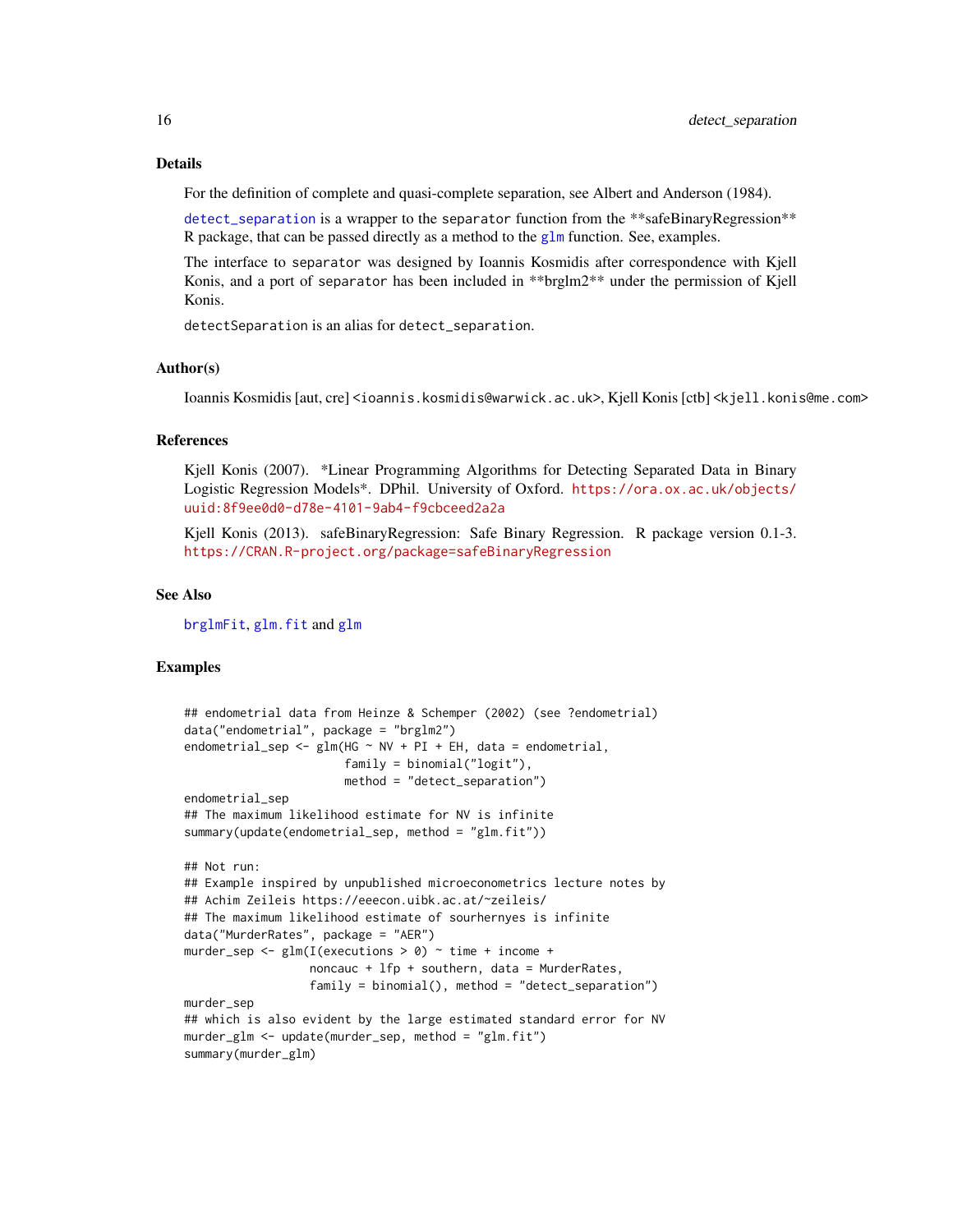#### Details

For the definition of complete and quasi-complete separation, see Albert and Anderson (1984).

[detect\\_separation](#page-14-1) is a wrapper to the separator function from the \*\*safeBinaryRegression\*\* R package, that can be passed directly as a method to the  $g1m$  function. See, examples.

The interface to separator was designed by Ioannis Kosmidis after correspondence with Kjell Konis, and a port of separator has been included in \*\*brglm2\*\* under the permission of Kjell Konis.

detectSeparation is an alias for detect\_separation.

#### Author(s)

Ioannis Kosmidis [aut, cre] <ioannis.kosmidis@warwick.ac.uk>, Kjell Konis [ctb] <kjell.konis@me.com>

#### References

Kjell Konis (2007). \*Linear Programming Algorithms for Detecting Separated Data in Binary Logistic Regression Models\*. DPhil. University of Oxford. [https://ora.ox.ac.uk/objects/](https://ora.ox.ac.uk/objects/uuid:8f9ee0d0-d78e-4101-9ab4-f9cbceed2a2a) [uuid:8f9ee0d0-d78e-4101-9ab4-f9cbceed2a2a](https://ora.ox.ac.uk/objects/uuid:8f9ee0d0-d78e-4101-9ab4-f9cbceed2a2a)

Kjell Konis (2013). safeBinaryRegression: Safe Binary Regression. R package version 0.1-3. <https://CRAN.R-project.org/package=safeBinaryRegression>

#### See Also

[brglmFit](#page-5-1), [glm.fit](#page-0-0) and [glm](#page-0-0)

# Examples

```
## endometrial data from Heinze & Schemper (2002) (see ?endometrial)
data("endometrial", package = "brglm2")
endometrial_sep <- glm(HG \sim NV + PI + EH, data = endometrial,
                       family = binomial("logit"),
                       method = "detect_separation")
endometrial_sep
## The maximum likelihood estimate for NV is infinite
summary(update(endometrial_sep, method = "glm.fit"))
## Not run:
## Example inspired by unpublished microeconometrics lecture notes by
## Achim Zeileis https://eeecon.uibk.ac.at/~zeileis/
## The maximum likelihood estimate of sourhernyes is infinite
data("MurderRates", package = "AER")
murder_sep <- glm(I(executions > 0) ~ time + income +
                  noncauc + lfp + southern, data = MurderRates,
                  family = binomial(), method = "detect_separation")
murder_sep
## which is also evident by the large estimated standard error for NV
murder_glm <- update(murder_sep, method = "glm.fit")
summary(murder_glm)
```
<span id="page-15-0"></span>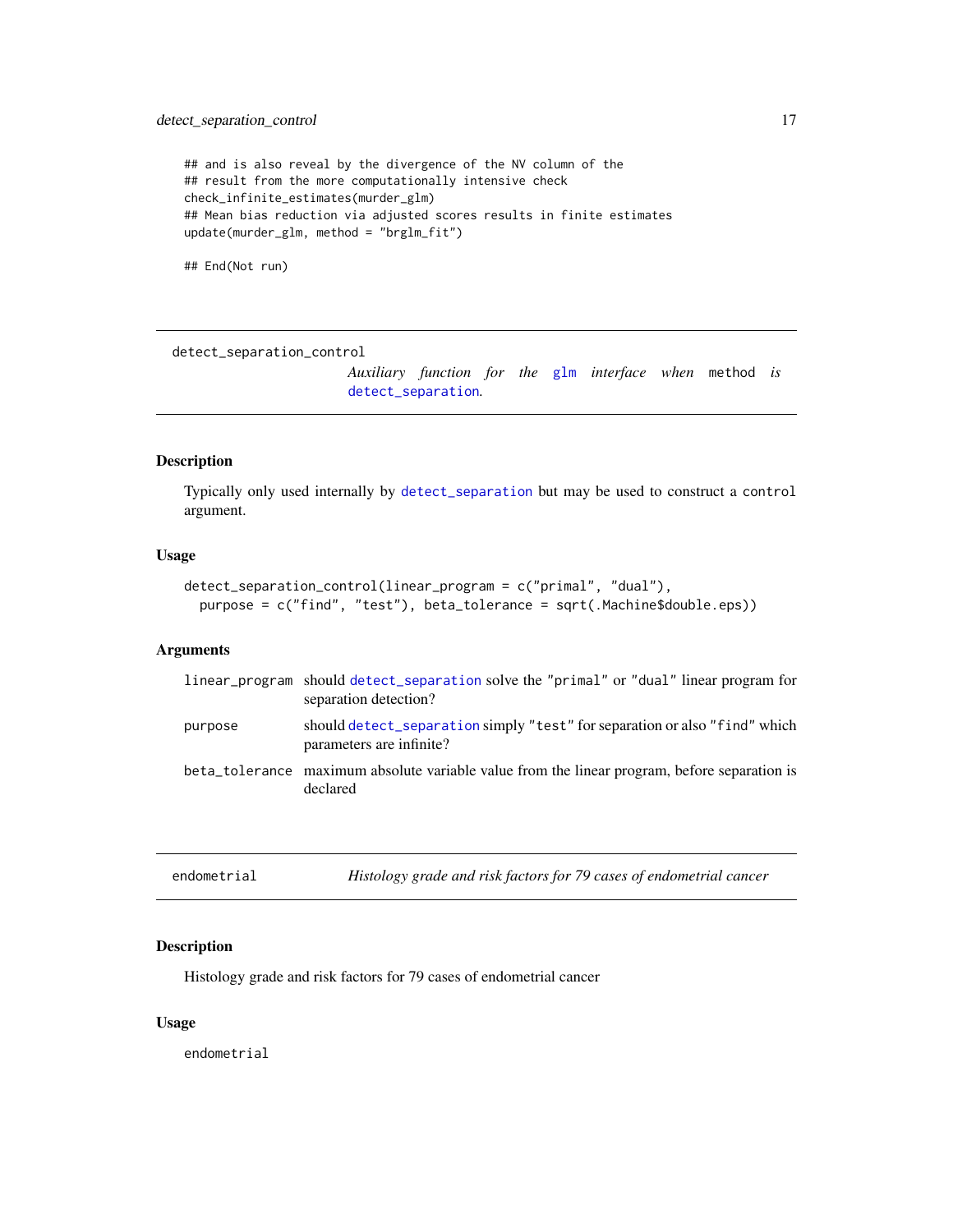```
## and is also reveal by the divergence of the NV column of the
## result from the more computationally intensive check
check_infinite_estimates(murder_glm)
## Mean bias reduction via adjusted scores results in finite estimates
update(murder_glm, method = "brglm_fit")
```
## End(Not run)

<span id="page-16-1"></span>detect\_separation\_control

*Auxiliary function for the* [glm](#page-0-0) *interface when* method *is* [detect\\_separation](#page-14-1)*.*

# Description

Typically only used internally by [detect\\_separation](#page-14-1) but may be used to construct a control argument.

# Usage

```
detect_separation_control(linear_program = c("primal", "dual"),
 purpose = c("find", "test"), beta_tolerance = sqrt(.Machine$double.eps))
```
# Arguments

|         | linear program should detect separation solve the "primal" or "dual" linear program for<br>separation detection? |
|---------|------------------------------------------------------------------------------------------------------------------|
| purpose | should detect_separation simply "test" for separation or also "find" which<br>parameters are infinite?           |
|         | beta_tolerance maximum absolute variable value from the linear program, before separation is<br>declared         |

| endometrial | Histology grade and risk factors for 79 cases of endometrial cancer |
|-------------|---------------------------------------------------------------------|
|             |                                                                     |

# Description

Histology grade and risk factors for 79 cases of endometrial cancer

# Usage

endometrial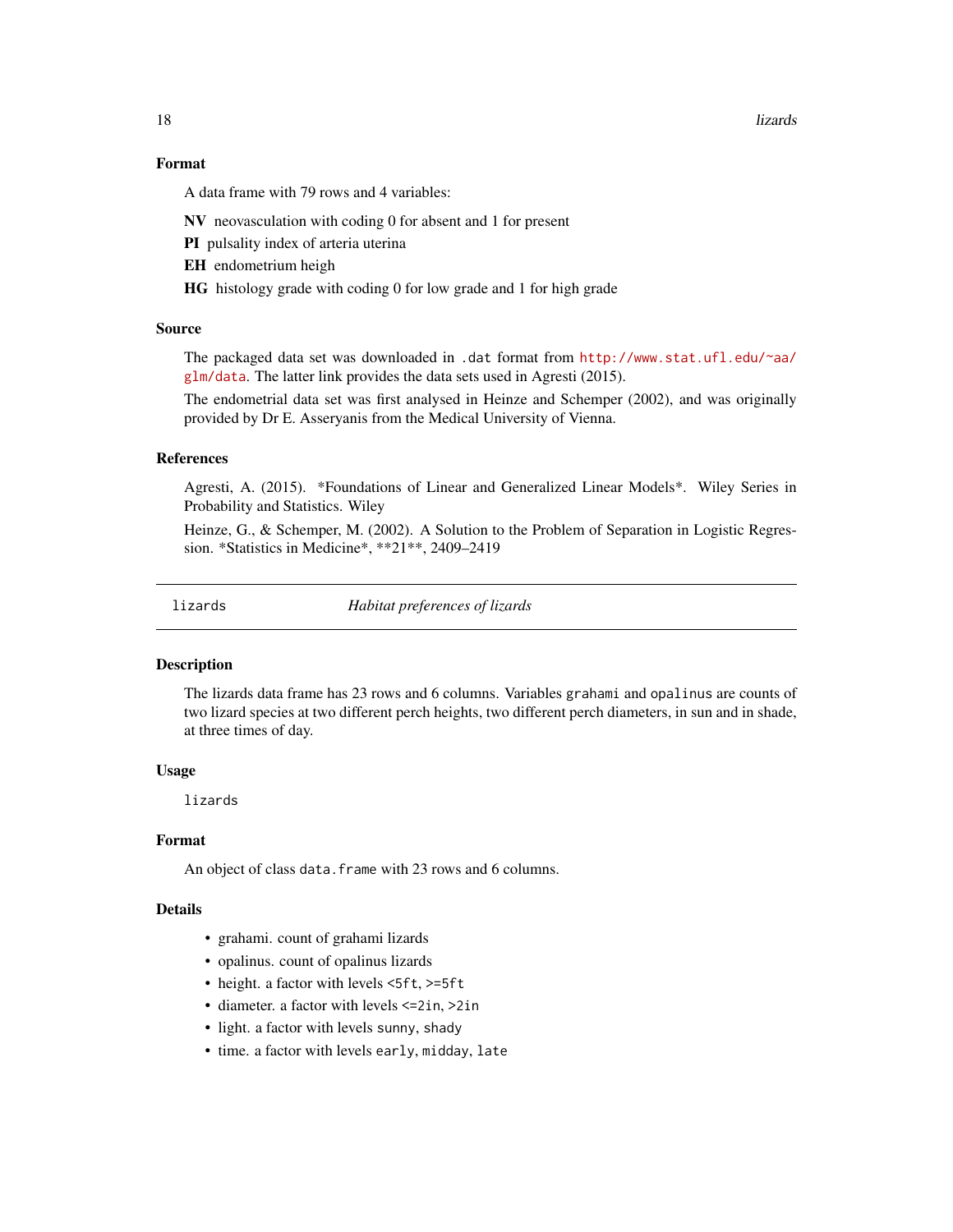<span id="page-17-0"></span>18 lizards and the contract of the contract of the contract of the contract of the contract of the contract of the contract of the contract of the contract of the contract of the contract of the contract of the contract of

#### Format

A data frame with 79 rows and 4 variables:

NV neovasculation with coding 0 for absent and 1 for present

PI pulsality index of arteria uterina

EH endometrium heigh

HG histology grade with coding 0 for low grade and 1 for high grade

# Source

The packaged data set was downloaded in .dat format from [http://www.stat.ufl.edu/~aa/](http://www.stat.ufl.edu/~aa/glm/data) [glm/data](http://www.stat.ufl.edu/~aa/glm/data). The latter link provides the data sets used in Agresti (2015).

The endometrial data set was first analysed in Heinze and Schemper (2002), and was originally provided by Dr E. Asseryanis from the Medical University of Vienna.

# References

Agresti, A. (2015). \*Foundations of Linear and Generalized Linear Models\*. Wiley Series in Probability and Statistics. Wiley

Heinze, G., & Schemper, M. (2002). A Solution to the Problem of Separation in Logistic Regression. \*Statistics in Medicine\*, \*\*21\*\*, 2409–2419

lizards *Habitat preferences of lizards*

#### **Description**

The lizards data frame has 23 rows and 6 columns. Variables grahami and opalinus are counts of two lizard species at two different perch heights, two different perch diameters, in sun and in shade, at three times of day.

# Usage

lizards

#### Format

An object of class data. frame with 23 rows and 6 columns.

#### Details

- grahami. count of grahami lizards
- opalinus. count of opalinus lizards
- height. a factor with levels <5ft, >=5ft
- diameter. a factor with levels <=2in, >2in
- light. a factor with levels sunny, shady
- time. a factor with levels early, midday, late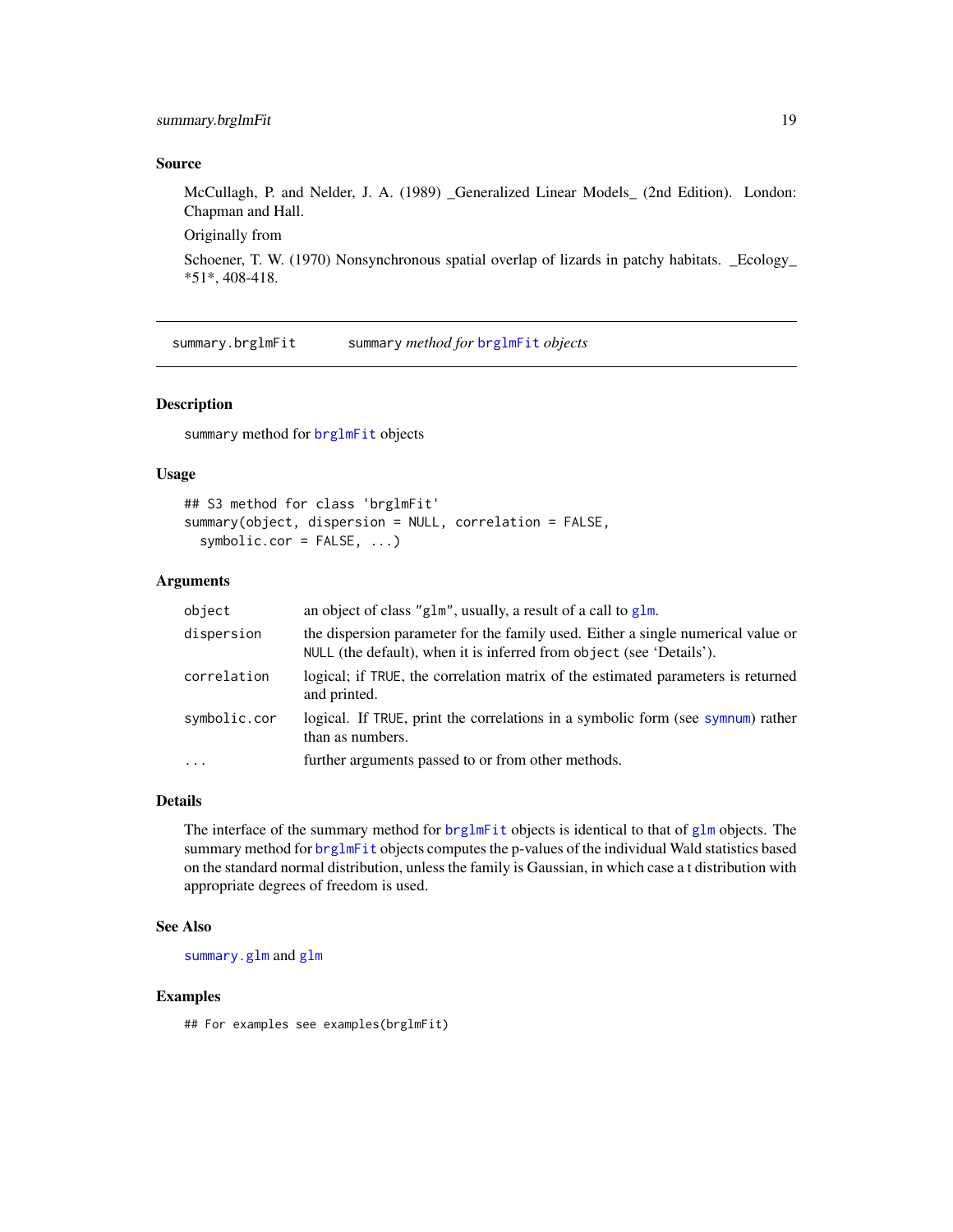# <span id="page-18-0"></span>summary.brglmFit 19

#### Source

McCullagh, P. and Nelder, J. A. (1989) \_Generalized Linear Models\_ (2nd Edition). London: Chapman and Hall.

Originally from

Schoener, T. W. (1970) Nonsynchronous spatial overlap of lizards in patchy habitats. \_Ecology\_ \*51\*, 408-418.

summary.brglmFit summary *method for* [brglmFit](#page-5-1) *objects*

# Description

summary method for [brglmFit](#page-5-1) objects

# Usage

```
## S3 method for class 'brglmFit'
summary(object, dispersion = NULL, correlation = FALSE,
 symbolic.cor = FALSE, ...)
```
#### Arguments

| object       | an object of class "g1m", usually, a result of a call to g1m.                                                                                            |
|--------------|----------------------------------------------------------------------------------------------------------------------------------------------------------|
| dispersion   | the dispersion parameter for the family used. Either a single numerical value or<br>NULL (the default), when it is inferred from object (see 'Details'). |
| correlation  | logical; if TRUE, the correlation matrix of the estimated parameters is returned<br>and printed.                                                         |
| symbolic.cor | logical. If TRUE, print the correlations in a symbolic form (see symnum) rather<br>than as numbers.                                                      |
| $\ddotsc$    | further arguments passed to or from other methods.                                                                                                       |

# Details

The interface of the summary method for [brglmFit](#page-5-1) objects is identical to that of [glm](#page-0-0) objects. The summary method for [brglmFit](#page-5-1) objects computes the p-values of the individual Wald statistics based on the standard normal distribution, unless the family is Gaussian, in which case a t distribution with appropriate degrees of freedom is used.

# See Also

[summary.glm](#page-0-0) and [glm](#page-0-0)

#### Examples

## For examples see examples(brglmFit)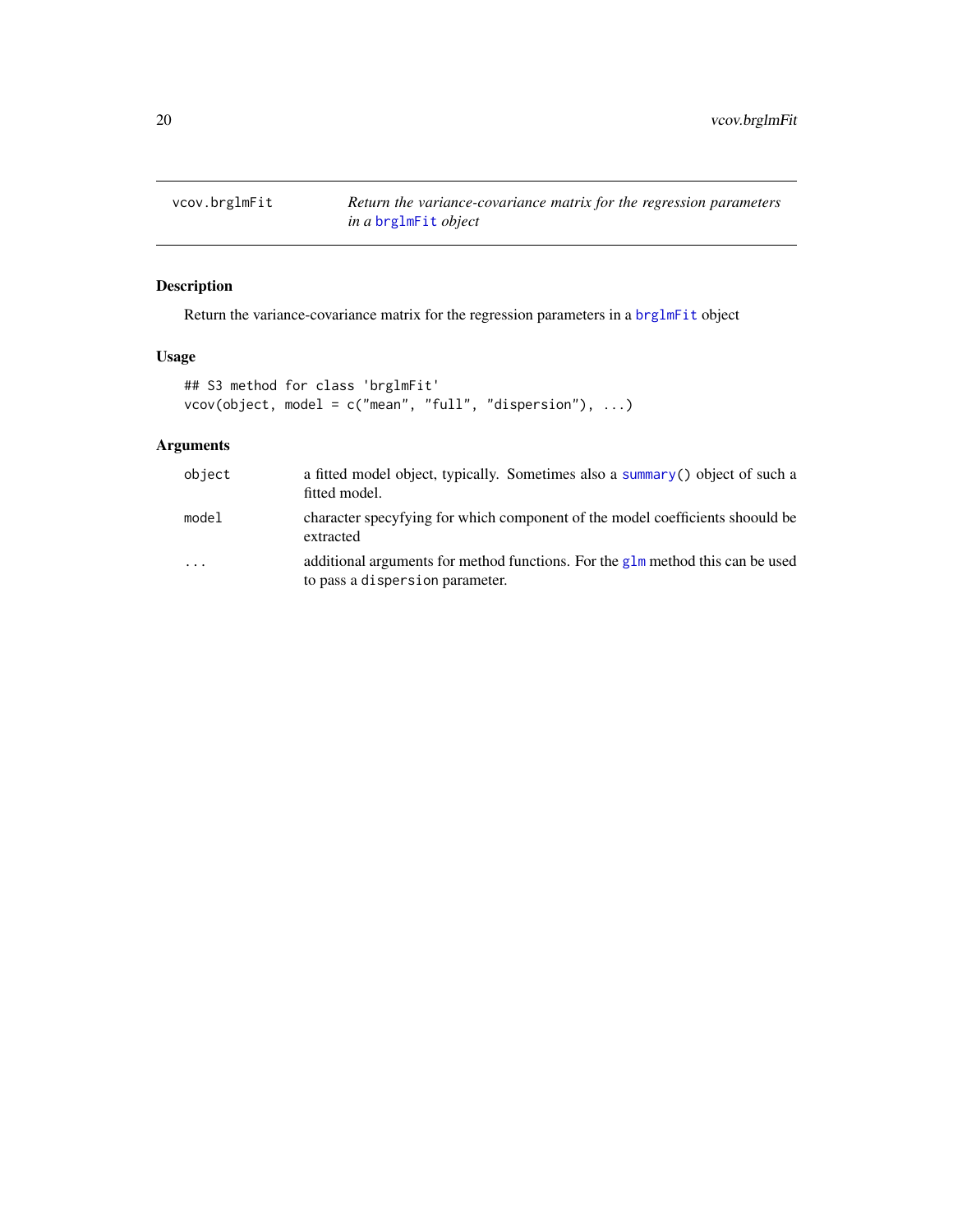<span id="page-19-0"></span>vcov.brglmFit *Return the variance-covariance matrix for the regression parameters in a* [brglmFit](#page-5-1) *object*

# Description

Return the variance-covariance matrix for the regression parameters in a [brglmFit](#page-5-1) object

# Usage

```
## S3 method for class 'brglmFit'
vcov(object, model = c("mean", "full", "dispersion"), ...)
```

| object | a fitted model object, typically. Sometimes also a summary () object of such a<br>fitted model.                   |
|--------|-------------------------------------------------------------------------------------------------------------------|
| model  | character specyfying for which component of the model coefficients shoould be<br>extracted                        |
| .      | additional arguments for method functions. For the glm method this can be used<br>to pass a dispersion parameter. |